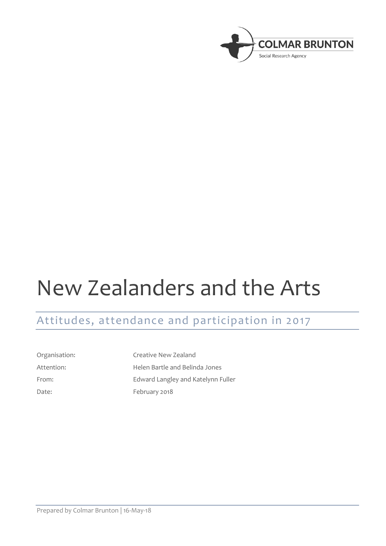

# New Zealanders and the Arts

# Attitudes, attendance and participation in 2017

Organisation: Creative New Zealand Attention: Helen Bartle and Belinda Jones From: Edward Langley and Katelynn Fuller Date: February 2018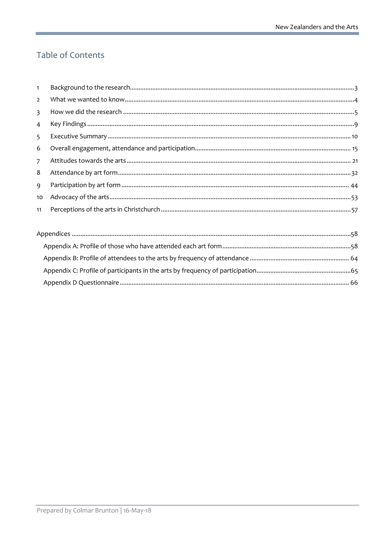# Table of Contents

| $\mathbf{1}$   |  |  |  |  |  |
|----------------|--|--|--|--|--|
| $\overline{2}$ |  |  |  |  |  |
| 3              |  |  |  |  |  |
| 4              |  |  |  |  |  |
| 5              |  |  |  |  |  |
| 6              |  |  |  |  |  |
| $\overline{7}$ |  |  |  |  |  |
| 8              |  |  |  |  |  |
| 9              |  |  |  |  |  |
| 10             |  |  |  |  |  |
| 11             |  |  |  |  |  |
|                |  |  |  |  |  |
|                |  |  |  |  |  |
|                |  |  |  |  |  |
|                |  |  |  |  |  |
|                |  |  |  |  |  |
|                |  |  |  |  |  |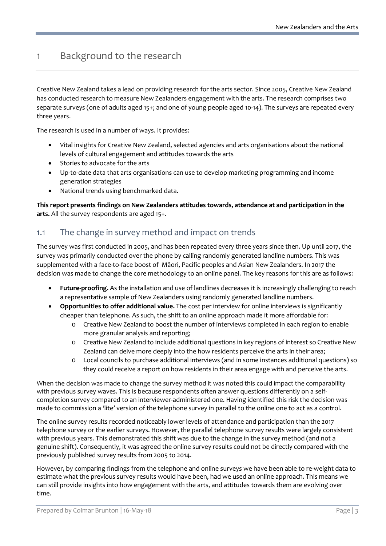# <span id="page-2-0"></span>1 Background to the research

Creative New Zealand takes a lead on providing research for the arts sector. Since 2005, Creative New Zealand has conducted research to measure New Zealanders engagement with the arts. The research comprises two separate surveys (one of adults aged 15+; and one of young people aged 10-14). The surveys are repeated every three years.

The research is used in a number of ways. It provides:

- Vital insights for Creative New Zealand, selected agencies and arts organisations about the national levels of cultural engagement and attitudes towards the arts
- Stories to advocate for the arts
- Up-to-date data that arts organisations can use to develop marketing programming and income generation strategies
- National trends using benchmarked data.

**This report presents findings on New Zealanders attitudes towards, attendance at and participation in the arts.** All the survey respondents are aged 15+.

### 1.1 The change in survey method and impact on trends

The survey was first conducted in 2005, and has been repeated every three years since then. Up until 2017, the survey was primarily conducted over the phone by calling randomly generated landline numbers. This was supplemented with a face-to-face boost of Māori, Pacific peoples and Asian New Zealanders. In 2017 the decision was made to change the core methodology to an online panel. The key reasons for this are as follows:

- **Future-proofing.** As the installation and use of landlines decreases it is increasingly challenging to reach a representative sample of New Zealanders using randomly generated landline numbers.
- **Opportunities to offer additional value.** The cost per interview for online interviews is significantly cheaper than telephone. As such, the shift to an online approach made it more affordable for:
	- o Creative New Zealand to boost the number of interviews completed in each region to enable more granular analysis and reporting;
	- o Creative New Zealand to include additional questions in key regions of interest so Creative New Zealand can delve more deeply into the how residents perceive the arts in their area;
	- o Local councils to purchase additional interviews (and in some instances additional questions) so they could receive a report on how residents in their area engage with and perceive the arts.

When the decision was made to change the survey method it was noted this could impact the comparability with previous survey waves. This is because respondents often answer questions differently on a selfcompletion survey compared to an interviewer-administered one. Having identified this risk the decision was made to commission a 'lite' version of the telephone survey in parallel to the online one to act as a control.

The online survey results recorded noticeably lower levels of attendance and participation than the 2017 telephone survey or the earlier surveys. However, the parallel telephone survey results were largely consistent with previous years. This demonstrated this shift was due to the change in the survey method (and not a genuine shift). Consequently, it was agreed the online survey results could not be directly compared with the previously published survey results from 2005 to 2014.

However, by comparing findings from the telephone and online surveys we have been able to re-weight data to estimate what the previous survey results would have been, had we used an online approach. This means we can still provide insights into how engagement with the arts, and attitudes towards them are evolving over time.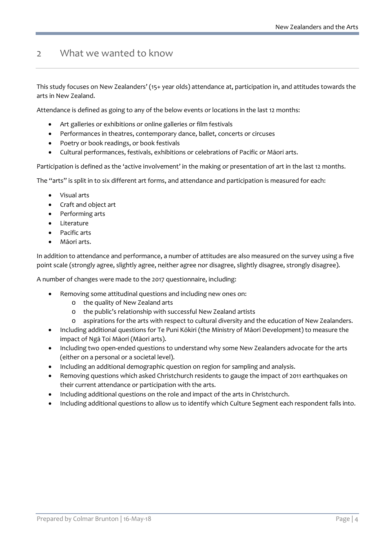# <span id="page-3-0"></span>2 What we wanted to know

This study focuses on New Zealanders' (15+ year olds) attendance at, participation in, and attitudes towards the arts in New Zealand.

Attendance is defined as going to any of the below events or locations in the last 12 months:

- Art galleries or exhibitions or online galleries or film festivals
- Performances in theatres, contemporary dance, ballet, concerts or circuses
- Poetry or book readings, or book festivals
- Cultural performances, festivals, exhibitions or celebrations of Pacific or Māori arts.

Participation is defined as the 'active involvement' in the making or presentation of art in the last 12 months.

The "arts" is split in to six different art forms, and attendance and participation is measured for each:

- Visual arts
- Craft and object art
- Performing arts
- Literature
- Pacific arts
- Māori arts.

In addition to attendance and performance, a number of attitudes are also measured on the survey using a five point scale (strongly agree, slightly agree, neither agree nor disagree, slightly disagree, strongly disagree).

A number of changes were made to the 2017 questionnaire, including:

- Removing some attitudinal questions and including new ones on:
	- o the quality of New Zealand arts
	- o the public's relationship with successful New Zealand artists
	- o aspirations for the arts with respect to cultural diversity and the education of New Zealanders.
- Including additional questions for Te Puni Kōkiri (the Ministry of Māori Development) to measure the impact of Ngā Toi Māori (Māori arts).
- Including two open-ended questions to understand why some New Zealanders advocate for the arts (either on a personal or a societal level).
- Including an additional demographic question on region for sampling and analysis.
- Removing questions which asked Christchurch residents to gauge the impact of 2011 earthquakes on their current attendance or participation with the arts.
- Including additional questions on the role and impact of the arts in Christchurch.
- <span id="page-3-1"></span>• Including additional questions to allow us to identify which Culture Segment each respondent falls into.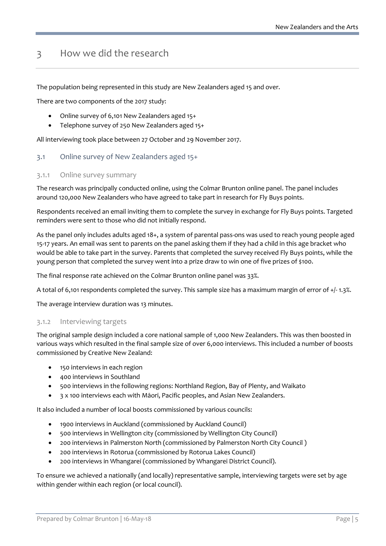# 3 How we did the research

The population being represented in this study are New Zealanders aged 15 and over.

There are two components of the 2017 study:

- Online survey of 6,101 New Zealanders aged 15+
- Telephone survey of 250 New Zealanders aged 15+

All interviewing took place between 27 October and 29 November 2017.

#### 3.1 Online survey of New Zealanders aged 15+

#### 3.1.1 Online survey summary

The research was principally conducted online, using the Colmar Brunton online panel. The panel includes around 120,000 New Zealanders who have agreed to take part in research for Fly Buys points.

Respondents received an email inviting them to complete the survey in exchange for Fly Buys points. Targeted reminders were sent to those who did not initially respond.

As the panel only includes adults aged 18+, a system of parental pass-ons was used to reach young people aged 15-17 years. An email was sent to parents on the panel asking them if they had a child in this age bracket who would be able to take part in the survey. Parents that completed the survey received Fly Buys points, while the young person that completed the survey went into a prize draw to win one of five prizes of \$100.

The final response rate achieved on the Colmar Brunton online panel was 33%.

A total of 6,101 respondents completed the survey. This sample size has a maximum margin of error of +/- 1.3%.

The average interview duration was 13 minutes.

#### 3.1.2 Interviewing targets

The original sample design included a core national sample of 1,000 New Zealanders. This was then boosted in various ways which resulted in the final sample size of over 6,000 interviews. This included a number of boosts commissioned by Creative New Zealand:

- 150 interviews in each region
- 400 interviews in Southland
- 500 interviews in the following regions: Northland Region, Bay of Plenty, and Waikato
- 3 x 100 interviews each with Māori, Pacific peoples, and Asian New Zealanders.

It also included a number of local boosts commissioned by various councils:

- 1900 interviews in Auckland (commissioned by Auckland Council)
- 500 interviews in Wellington city (commissioned by Wellington City Council)
- 200 interviews in Palmerston North (commissioned by Palmerston North City Council )
- 200 interviews in Rotorua (commissioned by Rotorua Lakes Council)
- 200 interviews in Whangarei (commissioned by Whangarei District Council).

To ensure we achieved a nationally (and locally) representative sample, interviewing targets were set by age within gender within each region (or local council).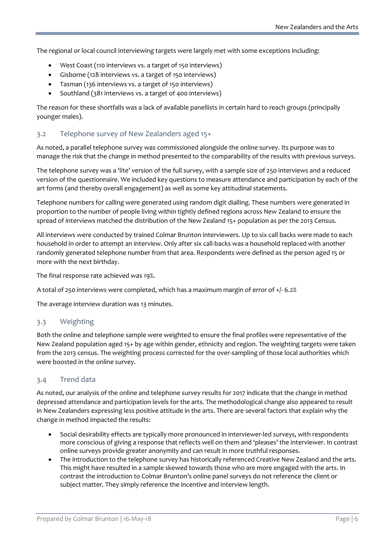The regional or local council interviewing targets were largely met with some exceptions including:

- West Coast (110 interviews vs. a target of 150 interviews)
- Gisborne (128 interviews vs. a target of 150 interviews)
- Tasman (136 interviews vs. a target of 150 interviews)
- Southland (381 interviews vs. a target of 400 interviews)

The reason for these shortfalls was a lack of available panellists in certain hard to reach groups (principally younger males).

#### 3.2 Telephone survey of New Zealanders aged 15+

As noted, a parallel telephone survey was commissioned alongside the online survey. Its purpose was to manage the risk that the change in method presented to the comparability of the results with previous surveys.

The telephone survey was a 'lite' version of the full survey, with a sample size of 250 interviews and a reduced version of the questionnaire. We included key questions to measure attendance and participation by each of the art forms (and thereby overall engagement) as well as some key attitudinal statements.

Telephone numbers for calling were generated using random digit dialling. These numbers were generated in proportion to the number of people living within tightly defined regions across New Zealand to ensure the spread of interviews matched the distribution of the New Zealand 15+ population as per the 2013 Census.

All interviews were conducted by trained Colmar Brunton interviewers. Up to six call backs were made to each household in order to attempt an interview. Only after six call-backs was a household replaced with another randomly generated telephone number from that area. Respondents were defined as the person aged 15 or more with the next birthday.

The final response rate achieved was 19%.

A total of 250 interviews were completed, which has a maximum margin of error of +/- 6.2%

The average interview duration was 13 minutes.

#### 3.3 Weighting

Both the online and telephone sample were weighted to ensure the final profiles were representative of the New Zealand population aged 15+ by age within gender, ethnicity and region. The weighting targets were taken from the 2013 census. The weighting process corrected for the over-sampling of those local authorities which were boosted in the online survey.

#### 3.4 Trend data

As noted, our analysis of the online and telephone survey results for 2017 indicate that the change in method depressed attendance and participation levels for the arts. The methodological change also appeared to result in New Zealanders expressing less positive attitude in the arts. There are several factors that explain why the change in method impacted the results:

- Social desirability effects are typically more pronounced in interviewer-led surveys, with respondents more conscious of giving a response that reflects well on them and 'pleases' the interviewer. In contrast online surveys provide greater anonymity and can result in more truthful responses.
- The introduction to the telephone survey has historically referenced Creative New Zealand and the arts. This might have resulted in a sample skewed towards those who are more engaged with the arts. In contrast the introduction to Colmar Brunton's online panel surveys do not reference the client or subject matter. They simply reference the incentive and interview length.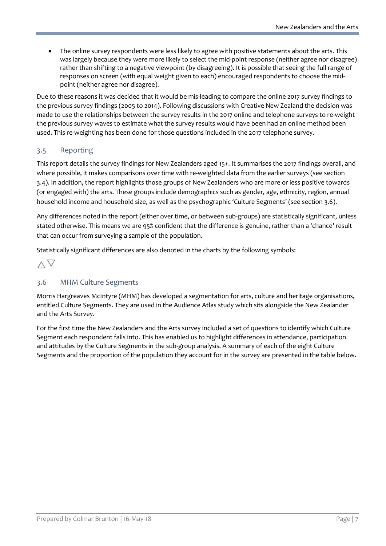• The online survey respondents were less likely to agree with positive statements about the arts. This was largely because they were more likely to select the mid-point response (neither agree nor disagree) rather than shifting to a negative viewpoint (by disagreeing). It is possible that seeing the full range of responses on screen (with equal weight given to each) encouraged respondents to choose the midpoint (neither agree nor disagree).

Due to these reasons it was decided that it would be mis-leading to compare the online 2017 survey findings to the previous survey findings (2005 to 2014). Following discussions with Creative New Zealand the decision was made to use the relationships between the survey results in the 2017 online and telephone surveys to re-weight the previous survey waves to estimate what the survey results would have been had an online method been used. This re-weighting has been done for those questions included in the 2017 telephone survey.

#### 3.5 Reporting

This report details the survey findings for New Zealanders aged 15+. It summarises the 2017 findings overall, and where possible, it makes comparisons over time with re-weighted data from the earlier surveys (see section 3.4). In addition, the report highlights those groups of New Zealanders who are more or less positive towards (or engaged with) the arts. These groups include demographics such as gender, age, ethnicity, region, annual household income and household size, as well as the psychographic 'Culture Segments' (see section 3.6).

Any differences noted in the report (either over time, or between sub-groups) are statistically significant, unless stated otherwise. This means we are 95% confident that the difference is genuine, rather than a 'chance' result that can occur from surveying a sample of the population.

Statistically significant differences are also denoted in the charts by the following symbols:

 $\wedge \nabla$ 

#### 3.6 MHM Culture Segments

Morris Hargreaves McIntyre (MHM) has developed a segmentation for arts, culture and heritage organisations, entitled Culture Segments. They are used in the Audience Atlas study which sits alongside the New Zealander and the Arts Survey.

For the first time the New Zealanders and the Arts survey included a set of questions to identify which Culture Segment each respondent falls into. This has enabled us to highlight differences in attendance, participation and attitudes by the Culture Segments in the sub-group analysis. A summary of each of the eight Culture Segments and the proportion of the population they account for in the survey are presented in the table below.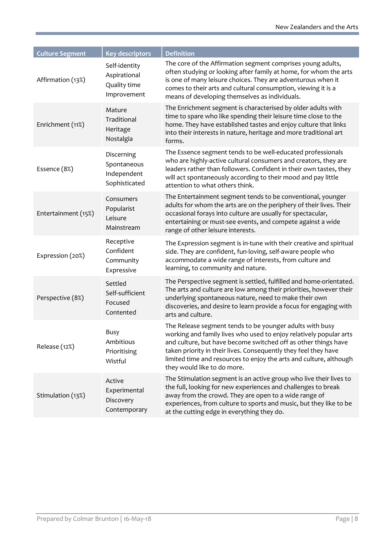| <b>Culture Segment</b> | <b>Key descriptors</b>                                       | <b>Definition</b>                                                                                                                                                                                                                                                                                                                                                        |
|------------------------|--------------------------------------------------------------|--------------------------------------------------------------------------------------------------------------------------------------------------------------------------------------------------------------------------------------------------------------------------------------------------------------------------------------------------------------------------|
| Affirmation (13%)      | Self-identity<br>Aspirational<br>Quality time<br>Improvement | The core of the Affirmation segment comprises young adults,<br>often studying or looking after family at home, for whom the arts<br>is one of many leisure choices. They are adventurous when it<br>comes to their arts and cultural consumption, viewing it is a<br>means of developing themselves as individuals.                                                      |
| Enrichment (11%)       | Mature<br>Traditional<br>Heritage<br>Nostalgia               | The Enrichment segment is characterised by older adults with<br>time to spare who like spending their leisure time close to the<br>home. They have established tastes and enjoy culture that links<br>into their interests in nature, heritage and more traditional art<br>forms.                                                                                        |
| Essence (8%)           | Discerning<br>Spontaneous<br>Independent<br>Sophisticated    | The Essence segment tends to be well-educated professionals<br>who are highly-active cultural consumers and creators, they are<br>leaders rather than followers. Confident in their own tastes, they<br>will act spontaneously according to their mood and pay little<br>attention to what others think.                                                                 |
| Entertainment (15%)    | Consumers<br>Popularist<br>Leisure<br>Mainstream             | The Entertainment segment tends to be conventional, younger<br>adults for whom the arts are on the periphery of their lives. Their<br>occasional forays into culture are usually for spectacular,<br>entertaining or must-see events, and compete against a wide<br>range of other leisure interests.                                                                    |
| Expression (20%)       | Receptive<br>Confident<br>Community<br>Expressive            | The Expression segment is in-tune with their creative and spiritual<br>side. They are confident, fun-loving, self-aware people who<br>accommodate a wide range of interests, from culture and<br>learning, to community and nature.                                                                                                                                      |
| Perspective (8%)       | Settled<br>Self-sufficient<br>Focused<br>Contented           | The Perspective segment is settled, fulfilled and home-orientated.<br>The arts and culture are low among their priorities, however their<br>underlying spontaneous nature, need to make their own<br>discoveries, and desire to learn provide a focus for engaging with<br>arts and culture.                                                                             |
| Release (12%)          | Busy<br>Ambitious<br>Prioritising<br>Wistful                 | The Release segment tends to be younger adults with busy<br>working and family lives who used to enjoy relatively popular arts<br>and culture, but have become switched off as other things have<br>taken priority in their lives. Consequently they feel they have<br>limited time and resources to enjoy the arts and culture, although<br>they would like to do more. |
| Stimulation (13%)      | Active<br>Experimental<br>Discovery<br>Contemporary          | The Stimulation segment is an active group who live their lives to<br>the full, looking for new experiences and challenges to break<br>away from the crowd. They are open to a wide range of<br>experiences, from culture to sports and music, but they like to be<br>at the cutting edge in everything they do.                                                         |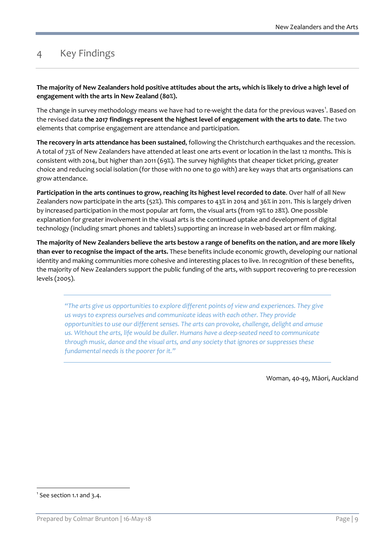# <span id="page-8-0"></span>4 Key Findings

**The majority of New Zealanders hold positive attitudes about the arts, which is likely to drive a high level of engagement with the arts in New Zealand (80%).**

The change in survey methodology means we have had to re-weight the data for the previous waves $^1$  $^1$ . Based on the revised data **the 2017 findings represent the highest level of engagement with the arts to date**. The two elements that comprise engagement are attendance and participation.

**The recovery in arts attendance has been sustained**, following the Christchurch earthquakes and the recession. A total of 73% of New Zealanders have attended at least one arts event or location in the last 12 months. This is consistent with 2014, but higher than 2011 (69%). The survey highlights that cheaper ticket pricing, greater choice and reducing social isolation (for those with no one to go with) are key ways that arts organisations can grow attendance.

**Participation in the arts continues to grow, reaching its highest level recorded to date**. Over half of all New Zealanders now participate in the arts (52%). This compares to 43% in 2014 and 36% in 2011. This is largely driven by increased participation in the most popular art form, the visual arts (from 19% to 28%). One possible explanation for greater involvement in the visual arts is the continued uptake and development of digital technology (including smart phones and tablets) supporting an increase in web-based art or film making.

**The majority of New Zealanders believe the arts bestow a range of benefits on the nation, and are more likely than ever to recognise the impact of the arts.** These benefits include economic growth, developing our national identity and making communities more cohesive and interesting places to live. In recognition of these benefits, the majority of New Zealanders support the public funding of the arts, with support recovering to pre-recession levels (2005).

*"The arts give us opportunities to explore different points of view and experiences. They give us ways to express ourselves and communicate ideas with each other. They provide opportunities to use our different senses. The arts can provoke, challenge, delight and amuse us. Without the arts, life would be duller. Humans have a deep-seated need to communicate through music, dance and the visual arts, and any society that ignores or suppresses these fundamental needs is the poorer for it."*

Woman, 40-49, Māori, Auckland

<span id="page-8-1"></span><sup>-&</sup>lt;br>1  $<sup>1</sup>$  See section 1.1 and 3.4.</sup>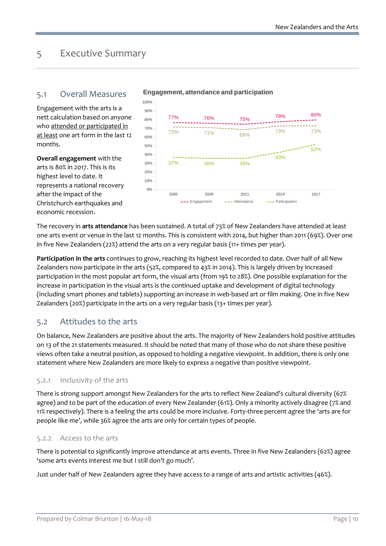# <span id="page-9-0"></span>5 Executive Summary

### 5.1 Overall Measures

Engagement with the arts is a nett calculation based on anyone who attended or participated in at least one art form in the last 12 months.

**Overall engagement** with the arts is 80% in 2017. This is its highest level to date. It represents a national recovery after the impact of the Christchurch earthquakes and economic recession.



#### **Engagement, attendance and participation**

The recovery in **arts attendance** has been sustained. A total of 73% of New Zealanders have attended at least one arts event or venue in the last 12 months. This is consistent with 2014, but higher than 2011 (69%). Over one in five New Zealanders (22%) attend the arts on a very regular basis (11+ times per year).

**Participation in the arts** continues to grow, reaching its highest level recorded to date. Over half of all New Zealanders now participate in the arts (52%, compared to 43% in 2014). This is largely driven by increased participation in the most popular art form, the visual arts (from 19% to 28%). One possible explanation for the increase in participation in the visual arts is the continued uptake and development of digital technology (including smart phones and tablets) supporting an increase in web-based art or film making. One in five New Zealanders (20%) participate in the arts on a very regular basis (13+ times per year).

### 5.2 Attitudes to the arts

On balance, New Zealanders are positive about the arts. The majority of New Zealanders hold positive attitudes on 13 of the 21 statements measured. It should be noted that many of those who do not share these positive views often take a neutral position, as opposed to holding a negative viewpoint. In addition, there is only one statement where New Zealanders are more likely to express a negative than positive viewpoint.

#### 5.2.1 Inclusivity of the arts

There is strong support amongst New Zealanders for the arts to reflect New Zealand's cultural diversity (67% agree) and to be part of the education of every New Zealander (61%). Only a minority actively disagree (7% and 11% respectively). There is a feeling the arts could be more inclusive. Forty-three percent agree the 'arts are for people like me', while 36% agree the arts are only for certain types of people.

#### 5.2.2 Access to the arts

There is potential to significantly improve attendance at arts events. Three in five New Zealanders (62%) agree 'some arts events interest me but I still don't go much'.

Just under half of New Zealanders agree they have access to a range of arts and artistic activities (46%).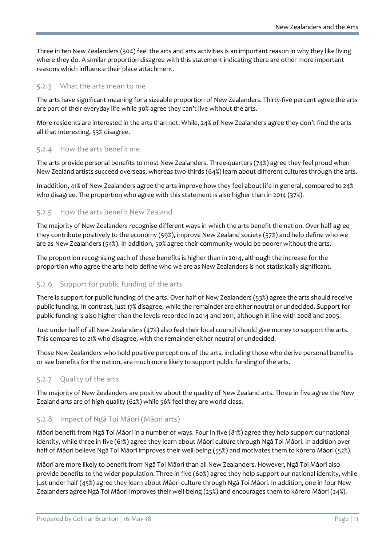Three in ten New Zealanders (30%) feel the arts and arts activities is an important reason in why they like living where they do. A similar proportion disagree with this statement indicating there are other more important reasons which influence their place attachment.

#### 5.2.3 What the arts mean to me

The arts have significant meaning for a sizeable proportion of New Zealanders. Thirty-five percent agree the arts are part of their everyday life while 30% agree they can't live without the arts.

More residents are interested in the arts than not. While, 24% of New Zealanders agree they don't find the arts all that interesting, 53% disagree.

#### 5.2.4 How the arts benefit me

The arts provide personal benefits to most New Zealanders. Three-quarters (74%) agree they feel proud when New Zealand artists succeed overseas, whereas two-thirds (64%) learn about different cultures through the arts.

In addition, 41% of New Zealanders agree the arts improve how they feel about life in general, compared to 24% who disagree. The proportion who agree with this statement is also higher than in 2014 (37%).

#### 5.2.5 How the arts benefit New Zealand

The majority of New Zealanders recognise different ways in which the arts benefit the nation. Over half agree they contribute positively to the economy (59%), improve New Zealand society (57%) and help define who we are as New Zealanders (54%). In addition, 50% agree their community would be poorer without the arts.

The proportion recognising each of these benefits is higher than in 2014, although the increase for the proportion who agree the arts help define who we are as New Zealanders is not statistically significant.

#### 5.2.6 Support for public funding of the arts

There is support for public funding of the arts. Over half of New Zealanders (53%) agree the arts should receive public funding. In contrast, just 17% disagree, while the remainder are either neutral or undecided. Support for public funding is also higher than the levels recorded in 2014 and 2011, although in line with 2008 and 2005.

Just under half of all New Zealanders (47%) also feel their local council should give money to support the arts. This compares to 21% who disagree, with the remainder either neutral or undecided.

Those New Zealanders who hold positive perceptions of the arts, including those who derive personal benefits or see benefits for the nation, are much more likely to support public funding of the arts.

#### 5.2.7 Quality of the arts

The majority of New Zealanders are positive about the quality of New Zealand arts. Three in five agree the New Zealand arts are of high quality (62%) while 56% feel they are world class.

#### 5.2.8 Impact of Ngā Toi Māori (Māori arts)

Māori benefit from Ngā Toi Māori in a number of ways. Four in five (81%) agree they help support our national identity, while three in five (61%) agree they learn about Māori culture through Ngā Toi Māori. In addition over half of Māori believe Ngā Toi Māori improves their well-being (55%) and motivates them to kōrero Māori (52%).

Māori are more likely to benefit from Ngā Toi Māori than all New Zealanders. However, Ngā Toi Māori also provide benefits to the wider population. Three in five (60%) agree they help support our national identity, while just under half (45%) agree they learn about Māori culture through Ngā Toi Māori. In addition, one in four New Zealanders agree Ngā Toi Māori improves their well-being (25%) and encourages them to kōrero Māori (24%).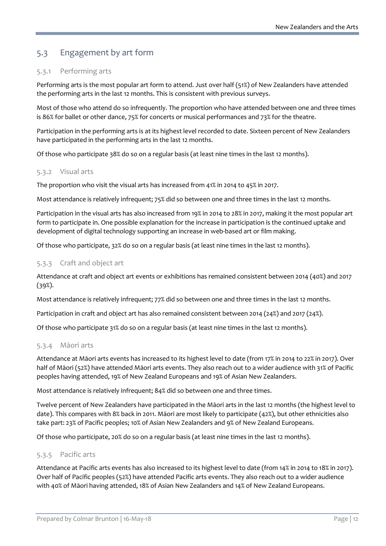## 5.3 Engagement by art form

#### 5.3.1 Performing arts

Performing arts is the most popular art form to attend. Just over half (51%) of New Zealanders have attended the performing arts in the last 12 months. This is consistent with previous surveys.

Most of those who attend do so infrequently. The proportion who have attended between one and three times is 86% for ballet or other dance, 75% for concerts or musical performances and 73% for the theatre.

Participation in the performing arts is at its highest level recorded to date. Sixteen percent of New Zealanders have participated in the performing arts in the last 12 months.

Of those who participate 38% do so on a regular basis (at least nine times in the last 12 months).

#### 5.3.2 Visual arts

The proportion who visit the visual arts has increased from 41% in 2014 to 45% in 2017.

Most attendance is relatively infrequent; 75% did so between one and three times in the last 12 months.

Participation in the visual arts has also increased from 19% in 2014 to 28% in 2017, making it the most popular art form to participate in. One possible explanation for the increase in participation is the continued uptake and development of digital technology supporting an increase in web-based art or film making.

Of those who participate, 32% do so on a regular basis (at least nine times in the last 12 months).

#### 5.3.3 Craft and object art

Attendance at craft and object art events or exhibitions has remained consistent between 2014 (40%) and 2017 (39%).

Most attendance is relatively infrequent; 77% did so between one and three times in the last 12 months.

Participation in craft and object art has also remained consistent between 2014 (24%) and 2017 (24%).

Of those who participate 31% do so on a regular basis (at least nine times in the last 12 months).

#### 5.3.4 Māori arts

Attendance at Māori arts events has increased to its highest level to date (from 17% in 2014 to 22% in 2017). Over half of Māori (52%) have attended Māori arts events. They also reach out to a wider audience with 31% of Pacific peoples having attended, 19% of New Zealand Europeans and 19% of Asian New Zealanders.

Most attendance is relatively infrequent; 84% did so between one and three times.

Twelve percent of New Zealanders have participated in the Māori arts in the last 12 months (the highest level to date). This compares with 8% back in 2011. Māori are most likely to participate (42%), but other ethnicities also take part: 23% of Pacific peoples; 10% of Asian New Zealanders and 9% of New Zealand Europeans.

Of those who participate, 20% do so on a regular basis (at least nine times in the last 12 months).

#### 5.3.5 Pacific arts

Attendance at Pacific arts events has also increased to its highest level to date (from 14% in 2014 to 18% in 2017). Over half of Pacific peoples (52%) have attended Pacific arts events. They also reach out to a wider audience with 40% of Māori having attended, 18% of Asian New Zealanders and 14% of New Zealand Europeans.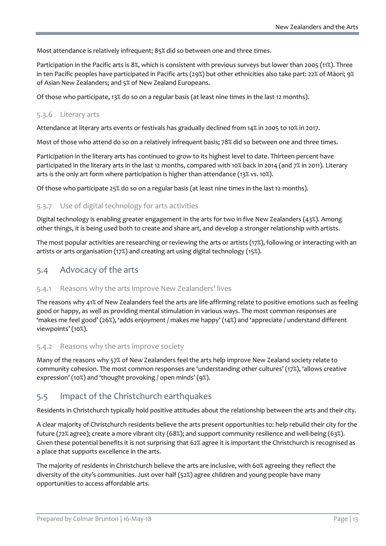Most attendance is relatively infrequent; 85% did so between one and three times.

Participation in the Pacific arts is 8%, which is consistent with previous surveys but lower than 2005 (11%). Three in ten Pacific peoples have participated in Pacific arts (29%) but other ethnicities also take part: 22% of Māori; 9% of Asian New Zealanders; and 5% of New Zealand Europeans.

Of those who participate, 13% do so on a regular basis (at least nine times in the last 12 months).

#### 5.3.6 Literary arts

Attendance at literary arts events or festivals has gradually declined from 14% in 2005 to 10% in 2017.

Most of those who attend do so on a relatively infrequent basis; 78% did so between one and three times.

Participation in the literary arts has continued to grow to its highest level to date. Thirteen percent have participated in the literary arts in the last 12 months, compared with 10% back in 2014 (and 7% in 2011). Literary arts is the only art form where participation is higher than attendance (13% vs. 10%).

Of those who participate 25% do so on a regular basis (at least nine times in the last 12 months).

#### 5.3.7 Use of digital technology for arts activities

Digital technology is enabling greater engagement in the arts for two in five New Zealanders (43%). Among other things, it is being used both to create and share art, and develop a stronger relationship with artists.

The most popular activities are researching or reviewing the arts or artists (17%), following or interacting with an artists or arts organisation (17%) and creating art using digital technology (15%).

### 5.4 Advocacy of the arts

#### 5.4.1 Reasons why the arts improve New Zealanders' lives

The reasons why 41% of New Zealanders feel the arts are life-affirming relate to positive emotions such as feeling good or happy, as well as providing mental stimulation in various ways. The most common responses are 'makes me feel good' (26%), 'adds enjoyment / makes me happy' (14%) and 'appreciate / understand different viewpoints' (10%).

#### 5.4.2 Reasons why the arts improve society

Many of the reasons why 57% of New Zealanders feel the arts help improve New Zealand society relate to community cohesion. The most common responses are 'understanding other cultures' (17%), 'allows creative expression' (10%) and 'thought provoking / open minds' (9%).

#### 5.5 Impact of the Christchurch earthquakes

Residents in Christchurch typically hold positive attitudes about the relationship between the arts and their city.

A clear majority of Christchurch residents believe the arts present opportunities to: help rebuild their city for the future (72% agree); create a more vibrant city (68%); and support community resilience and well-being (63%). Given these potential benefits it is not surprising that 62% agree it is important the Christchurch is recognised as a place that supports excellence in the arts.

The majority of residents in Christchurch believe the arts are inclusive, with 60% agreeing they reflect the diversity of the city's communities. Just over half (52%) agree children and young people have many opportunities to access affordable arts.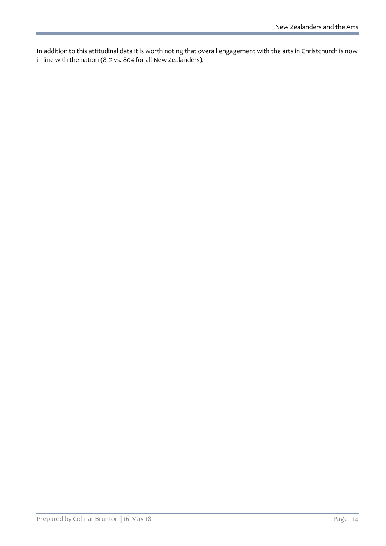In addition to this attitudinal data it is worth noting that overall engagement with the arts in Christchurch is now in line with the nation (81% vs. 80% for all New Zealanders).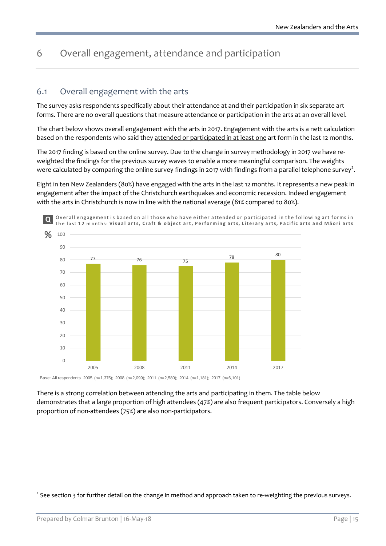# <span id="page-14-0"></span>6 Overall engagement, attendance and participation

### 6.1 Overall engagement with the arts

The survey asks respondents specifically about their attendance at and their participation in six separate art forms. There are no overall questions that measure attendance or participation in the arts at an overall level.

The chart below shows overall engagement with the arts in 2017. Engagement with the arts is a nett calculation based on the respondents who said they attended or participated in at least one art form in the last 12 months.

The 2017 finding is based on the online survey. Due to the change in survey methodology in 2017 we have reweighted the findings for the previous survey waves to enable a more meaningful comparison. The weights were calculated by comparing the online survey findings in [2](#page-14-1)017 with findings from a parallel telephone survey<sup>2</sup>.

Eight in ten New Zealanders (80%) have engaged with the arts in the last 12 months. It represents a new peak in engagement after the impact of the Christchurch earthquakes and economic recession. Indeed engagement with the arts in Christchurch is now in line with the national average (81% compared to 80%).



Base: All respondents 2005 (n=1,375); 2008 (n=2,099); 2011 (n=2,580); 2014 (n=1,181); 2017 (n=6,101)

There is a strong correlation between attending the arts and participating in them. The table below demonstrates that a large proportion of high attendees (47%) are also frequent participators. Conversely a high proportion of non-attendees (75%) are also non-participators.

<span id="page-14-1"></span><sup>&</sup>lt;sup>2</sup> See section 3 for further detail on the change in method and approach taken to re-weighting the previous surveys.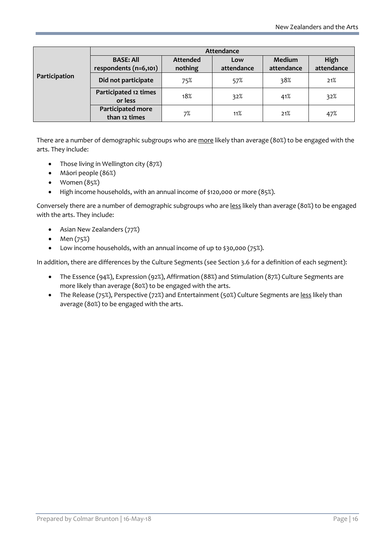|               | Attendance                                |                            |                   |                      |                    |  |  |
|---------------|-------------------------------------------|----------------------------|-------------------|----------------------|--------------------|--|--|
|               | <b>BASE: All</b><br>respondents (n=6,101) | <b>Attended</b><br>nothing | Low<br>attendance | Medium<br>attendance | High<br>attendance |  |  |
| Participation | Did not participate                       | 75%                        | 57%               | 38%                  | 21%                |  |  |
|               | Participated 12 times<br>or less          | 18%                        | 32%               | 41%                  | 32%                |  |  |
|               | Participated more<br>than 12 times        | 7%                         | 11%               | 21%                  | 47%                |  |  |

There are a number of demographic subgroups who are more likely than average (80%) to be engaged with the arts. They include:

- Those living in Wellington city (87%)
- Māori people (86%)
- Women (85%)
- High income households, with an annual income of \$120,000 or more (85%).

Conversely there are a number of demographic subgroups who are less likely than average (80%) to be engaged with the arts. They include:

- Asian New Zealanders (77%)
- Men (75%)
- Low income households, with an annual income of up to \$30,000 (75%).

In addition, there are differences by the Culture Segments (see Section 3.6 for a definition of each segment):

- The Essence (94%), Expression (92%), Affirmation (88%) and Stimulation (87%) Culture Segments are more likely than average (80%) to be engaged with the arts.
- The Release (75%), Perspective (72%) and Entertainment (50%) Culture Segments are less likely than average (80%) to be engaged with the arts.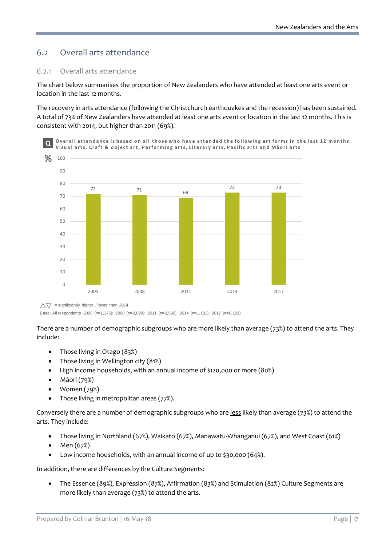# 6.2 Overall arts attendance

#### 6.2.1 Overall arts attendance

The chart below summarises the proportion of New Zealanders who have attended at least one arts event or location in the last 12 months.

The recovery in arts attendance (following the Christchurch earthquakes and the recession) has been sustained. A total of 73% of New Zealanders have attended at least one arts event or location in the last 12 months. This is consistent with 2014, but higher than 2011 (69%).



 $\wedge \nabla$  = significantly higher / lower than 2014

Base: All respondents 2005 (n=1,375); 2008 (n=2,099); 2011 (n=2,580); 2014 (n=1,181); 2017 (n=6,101)

There are a number of demographic subgroups who are more likely than average (73%) to attend the arts. They include:

- Those living in Otago (83%)
- Those living in Wellington city (81%)
- High income households, with an annual income of \$120,000 or more (80%)
- Māori (79%)
- Women (79%)
- Those living in metropolitan areas (77%).

Conversely there are a number of demographic subgroups who are less likely than average (73%) to attend the arts. They include:

- Those living in Northland (67%), Waikato (67%), Manawatu-Whanganui (67%), and West Coast (61%)
- Men (67%)
- Low income households, with an annual income of up to \$30,000 (64%).

In addition, there are differences by the Culture Segments:

• The Essence (89%), Expression (87%), Affirmation (83%) and Stimulation (82%) Culture Segments are more likely than average (73%) to attend the arts.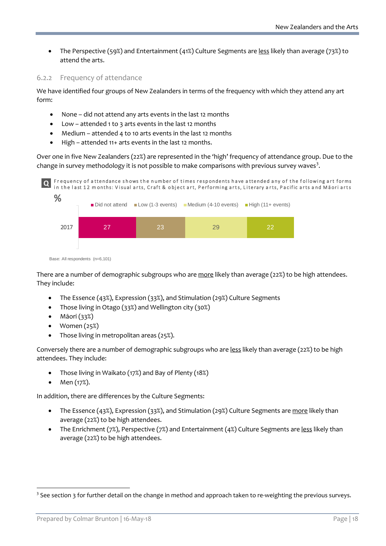• The Perspective (59%) and Entertainment (41%) Culture Segments are less likely than average (73%) to attend the arts.

#### 6.2.2 Frequency of attendance

We have identified four groups of New Zealanders in terms of the frequency with which they attend any art form:

- None did not attend any arts events in the last 12 months
- Low attended 1 to 3 arts events in the last 12 months
- Medium attended 4 to 10 arts events in the last 12 months
- High attended 11+ arts events in the last 12 months.

Over one in five New Zealanders (22%) are represented in the 'high' frequency of attendance group. Due to the change in survey methodology it is not possible to make comparisons with previous survey waves<sup>[3](#page-17-0)</sup>.





There are a number of demographic subgroups who are more likely than average (22%) to be high attendees. They include:

- The Essence (43%), Expression (33%), and Stimulation (29%) Culture Segments
- Those living in Otago (33%) and Wellington city (30%)
- Māori (33%)
- Women (25%)
- Those living in metropolitan areas (25%).

Conversely there are a number of demographic subgroups who are less likely than average (22%) to be high attendees. They include:

- Those living in Waikato (17%) and Bay of Plenty (18%)
- Men (17%).

In addition, there are differences by the Culture Segments:

- The Essence (43%), Expression (33%), and Stimulation (29%) Culture Segments are more likely than average (22%) to be high attendees.
- The Enrichment (7%), Perspective (7%) and Entertainment (4%) Culture Segments are less likely than average (22%) to be high attendees.

<span id="page-17-0"></span> $3$  See section 3 for further detail on the change in method and approach taken to re-weighting the previous surveys.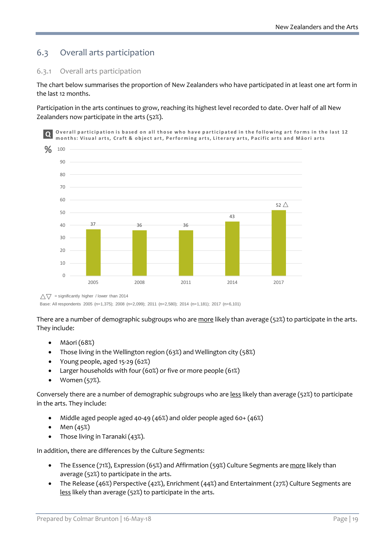# 6.3 Overall arts participation

#### 6.3.1 Overall arts participation

The chart below summarises the proportion of New Zealanders who have participated in at least one art form in the last 12 months.

Participation in the arts continues to grow, reaching its highest level recorded to date. Over half of all New Zealanders now participate in the arts (52%).



 $\triangle \triangledown$  = significantly higher / lower than 2014

Base: All respondents 2005 (n=1,375); 2008 (n=2,099); 2011 (n=2,580); 2014 (n=1,181); 2017 (n=6,101)

There are a number of demographic subgroups who are more likely than average (52%) to participate in the arts. They include:

- Māori (68%)
- Those living in the Wellington region (63%) and Wellington city (58%)
- Young people, aged 15-29 (62%)
- Larger households with four (60%) or five or more people (61%)
- Women (57%).

Conversely there are a number of demographic subgroups who are less likely than average (52%) to participate in the arts. They include:

- Middle aged people aged 40-49 (46%) and older people aged 60+ (46%)
- Men  $(45%)$
- Those living in Taranaki (43%).

In addition, there are differences by the Culture Segments:

- The Essence (71%), Expression (65%) and Affirmation (59%) Culture Segments are more likely than average (52%) to participate in the arts.
- The Release (46%) Perspective (42%), Enrichment (44%) and Entertainment (27%) Culture Segments are less likely than average (52%) to participate in the arts.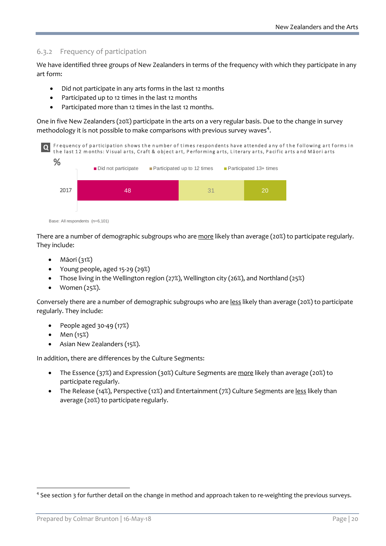#### 6.3.2 Frequency of participation

We have identified three groups of New Zealanders in terms of the frequency with which they participate in any art form:

- Did not participate in any arts forms in the last 12 months
- Participated up to 12 times in the last 12 months
- Participated more than 12 times in the last 12 months.

One in five New Zealanders (20%) participate in the arts on a very regular basis. Due to the change in survey methodology it is not possible to make comparisons with previous survey waves<sup>[4](#page-19-0)</sup>.



Base: All respondents (n=6,101)

There are a number of demographic subgroups who are more likely than average (20%) to participate regularly. They include:

- Māori (31%)
- Young people, aged 15-29 (29%)
- Those living in the Wellington region (27%), Wellington city (26%), and Northland (25%)
- Women (25%).

Conversely there are a number of demographic subgroups who are less likely than average (20%) to participate regularly. They include:

- People aged 30-49 (17%)
- Men (15%)
- Asian New Zealanders (15%).

In addition, there are differences by the Culture Segments:

- The Essence (37%) and Expression (30%) Culture Segments are more likely than average (20%) to participate regularly.
- The Release (14%), Perspective (12%) and Entertainment (7%) Culture Segments are less likely than average (20%) to participate regularly.

<span id="page-19-0"></span><sup>&</sup>lt;sup>4</sup> See section 3 for further detail on the change in method and approach taken to re-weighting the previous surveys.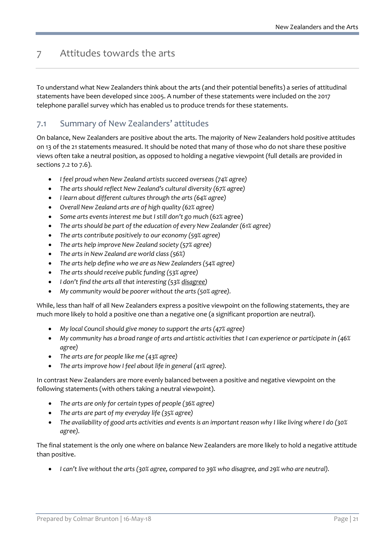# <span id="page-20-0"></span>7 Attitudes towards the arts

To understand what New Zealanders think about the arts (and their potential benefits) a series of attitudinal statements have been developed since 2005. A number of these statements were included on the 2017 telephone parallel survey which has enabled us to produce trends for these statements.

### 7.1 Summary of New Zealanders' attitudes

On balance, New Zealanders are positive about the arts. The majority of New Zealanders hold positive attitudes on 13 of the 21 statements measured. It should be noted that many of those who do not share these positive views often take a neutral position, as opposed to holding a negative viewpoint (full details are provided in sections 7.2 to 7.6).

- *I feel proud when New Zealand artists succeed overseas (74% agree)*
- *The arts should reflect New Zealand's cultural diversity (67% agree)*
- *I learn about different cultures through the arts (64% agree)*
- *Overall New Zealand arts are of high quality (62% agree)*
- *Some arts events interest me but I still don't go much* (62% agree)
- *The arts should be part of the education of every New Zealander (61% agree)*
- *The arts contribute positively to our economy (59% agree)*
- *The arts help improve New Zealand society (57% agree)*
- *The arts in New Zealand are world class (56%)*
- *The arts help define who we are as New Zealanders (54% agree)*
- *The arts should receive public funding (53% agree)*
- *I don't find the arts all that interesting (53% disagree)*
- *My community would be poorer without the arts (50% agree).*

While, less than half of all New Zealanders express a positive viewpoint on the following statements, they are much more likely to hold a positive one than a negative one (a significant proportion are neutral).

- *My local Council should give money to support the arts (47% agree)*
- *My community has a broad range of arts and artistic activities that I can experience or participate in (46% agree)*
- *The arts are for people like me (43% agree)*
- *The arts improve how I feel about life in general (41% agree).*

In contrast New Zealanders are more evenly balanced between a positive and negative viewpoint on the following statements (with others taking a neutral viewpoint).

- *The arts are only for certain types of people (36% agree)*
- *The arts are part of my everyday life (35% agree)*
- *The availability of good arts activities and events is an important reason why I like living where I do (30% agree).*

The final statement is the only one where on balance New Zealanders are more likely to hold a negative attitude than positive.

• *I can't live without the arts (30% agree, compared to 39% who disagree, and 29% who are neutral).*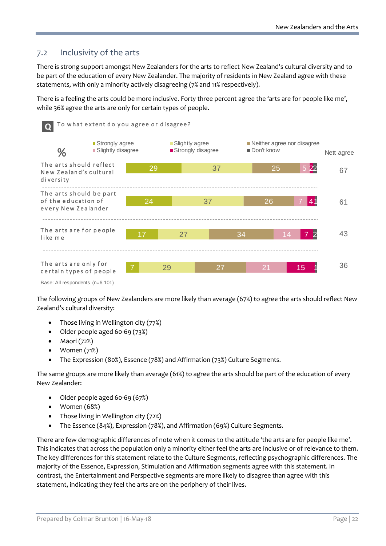## 7.2 Inclusivity of the arts

There is strong support amongst New Zealanders for the arts to reflect New Zealand's cultural diversity and to be part of the education of every New Zealander. The majority of residents in New Zealand agree with these statements, with only a minority actively disagreeing (7% and 11% respectively).

There is a feeling the arts could be more inclusive. Forty three percent agree the 'arts are for people like me', while 36% agree the arts are only for certain types of people.



Base: All respondents (n=6,101)

The following groups of New Zealanders are more likely than average (67%) to agree the arts should reflect New Zealand's cultural diversity:

- Those living in Wellington city (77%)
- Older people aged 60-69 (73%)
- Māori (72%)
- Women (71%)
- The Expression (80%), Essence (78%) and Affirmation (73%) Culture Segments.

The same groups are more likely than average (61%) to agree the arts should be part of the education of every New Zealander:

- Older people aged 60-69 (67%)
- Women (68%)
- Those living in Wellington city (72%)
- The Essence (84%), Expression (78%), and Affirmation (69%) Culture Segments.

There are few demographic differences of note when it comes to the attitude 'the arts are for people like me'. This indicates that across the population only a minority either feel the arts are inclusive or of relevance to them. The key differences for this statement relate to the Culture Segments, reflecting psychographic differences. The majority of the Essence, Expression, Stimulation and Affirmation segments agree with this statement. In contrast, the Entertainment and Perspective segments are more likely to disagree than agree with this statement, indicating they feel the arts are on the periphery of their lives.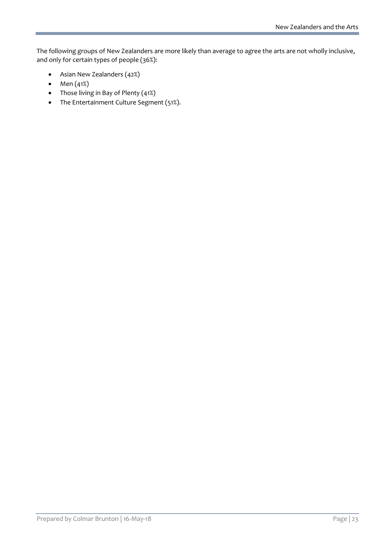The following groups of New Zealanders are more likely than average to agree the arts are not wholly inclusive, and only for certain types of people (36%):

- Asian New Zealanders (42%)
- Men (41%)
- Those living in Bay of Plenty (41%)
- The Entertainment Culture Segment (51%).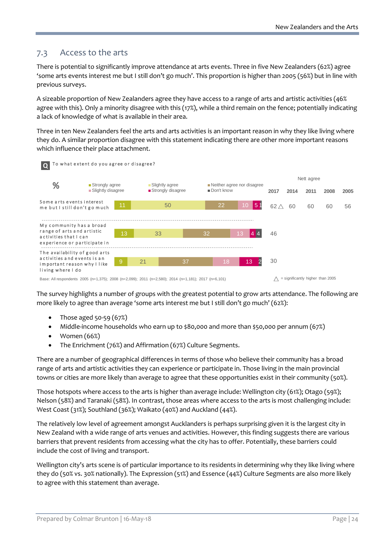### 7.3 Access to the arts

There is potential to significantly improve attendance at arts events. Three in five New Zealanders (62%) agree 'some arts events interest me but I still don't go much'. This proportion is higher than 2005 (56%) but in line with previous surveys.

A sizeable proportion of New Zealanders agree they have access to a range of arts and artistic activities (46% agree with this). Only a minority disagree with this (17%), while a third remain on the fence; potentially indicating a lack of knowledge of what is available in their area.

Three in ten New Zealanders feel the arts and arts activities is an important reason in why they like living where they do. A similar proportion disagree with this statement indicating there are other more important reasons which influence their place attachment.



The survey highlights a number of groups with the greatest potential to grow arts attendance. The following are more likely to agree than average 'some arts interest me but I still don't go much' (62%):

- Those aged  $50-59(67%)$
- Middle-income households who earn up to \$80,000 and more than \$50,000 per annum (67%)
- Women (66%)
- The Enrichment (76%) and Affirmation (67%) Culture Segments.

There are a number of geographical differences in terms of those who believe their community has a broad range of arts and artistic activities they can experience or participate in. Those living in the main provincial towns or cities are more likely than average to agree that these opportunities exist in their community (50%).

Those hotspots where access to the arts is higher than average include: Wellington city (61%); Otago (59%); Nelson (58%) and Taranaki (58%). In contrast, those areas where access to the arts is most challenging include: West Coast (31%); Southland (36%); Waikato (40%) and Auckland (44%).

The relatively low level of agreement amongst Aucklanders is perhaps surprising given it is the largest city in New Zealand with a wide range of arts venues and activities. However, this finding suggests there are various barriers that prevent residents from accessing what the city has to offer. Potentially, these barriers could include the cost of living and transport.

Wellington city's arts scene is of particular importance to its residents in determining why they like living where they do (50% vs. 30% nationally). The Expression (51%) and Essence (44%) Culture Segments are also more likely to agree with this statement than average.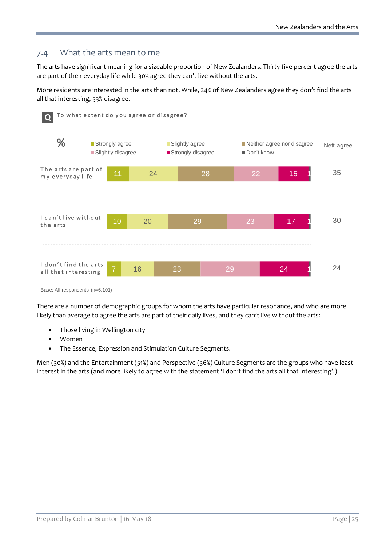## 7.4 What the arts mean to me

The arts have significant meaning for a sizeable proportion of New Zealanders. Thirty-five percent agree the arts are part of their everyday life while 30% agree they can't live without the arts.

More residents are interested in the arts than not. While, 24% of New Zealanders agree they don't find the arts all that interesting, 53% disagree.



Base: All respondents (n=6,101)

There are a number of demographic groups for whom the arts have particular resonance, and who are more likely than average to agree the arts are part of their daily lives, and they can't live without the arts:

- Those living in Wellington city
- Women
- The Essence, Expression and Stimulation Culture Segments.

Men (30%) and the Entertainment (51%) and Perspective (36%) Culture Segments are the groups who have least interest in the arts (and more likely to agree with the statement 'I don't find the arts all that interesting'.)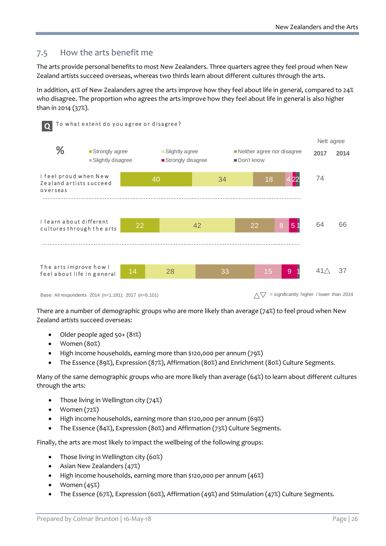## 7.5 How the arts benefit me

The arts provide personal benefits to most New Zealanders. Three quarters agree they feel proud when New Zealand artists succeed overseas, whereas two thirds learn about different cultures through the arts.

In addition, 41% of New Zealanders agree the arts improve how they feel about life in general, compared to 24% who disagree. The proportion who agrees the arts improve how they feel about life in general is also higher than in 2014 (37%).



Base: All respondents 2014 (n=1,181); 2017 (n=6,101)  $\sqrt{7}$  = significantly higher / lower than 2014

There are a number of demographic groups who are more likely than average (74%) to feel proud when New Zealand artists succeed overseas:

- Older people aged 50+ (81%)
- Women (80%)
- High income households, earning more than \$120,000 per annum (79%)
- The Essence (89%), Expression (87%), Affirmation (80%) and Enrichment (80%) Culture Segments.

Many of the same demographic groups who are more likely than average (64%) to learn about different cultures through the arts:

- Those living in Wellington city (74%)
- Women (72%)
- High income households, earning more than \$120,000 per annum (69%)
- The Essence (84%), Expression (80%) and Affirmation (73%) Culture Segments.

Finally, the arts are most likely to impact the wellbeing of the following groups:

- Those living in Wellington city (60%)
- Asian New Zealanders (47%)
- High income households, earning more than \$120,000 per annum (46%)
- Women (45%)
- The Essence (67%), Expression (60%), Affirmation (49%) and Stimulation (47%) Culture Segments.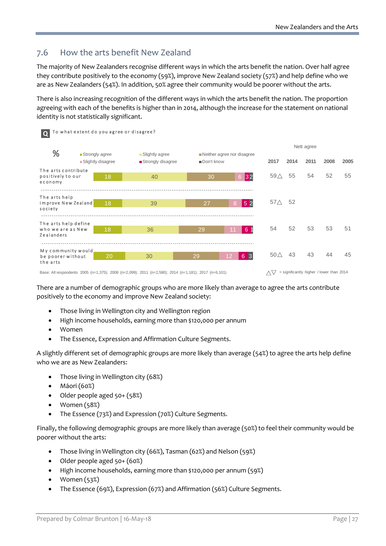# 7.6 How the arts benefit New Zealand

The majority of New Zealanders recognise different ways in which the arts benefit the nation. Over half agree they contribute positively to the economy (59%), improve New Zealand society (57%) and help define who we are as New Zealanders (54%). In addition, 50% agree their community would be poorer without the arts.

There is also increasing recognition of the different ways in which the arts benefit the nation. The proportion agreeing with each of the benefits is higher than in 2014, although the increase for the statement on national identity is not statistically significant.

| $\Omega$                                                | To what extent do you agree or disagree? |                                                                                                                                                                                                                                                      |                                          |                                         |                |      |                    |                                                   |      |
|---------------------------------------------------------|------------------------------------------|------------------------------------------------------------------------------------------------------------------------------------------------------------------------------------------------------------------------------------------------------|------------------------------------------|-----------------------------------------|----------------|------|--------------------|---------------------------------------------------|------|
| %                                                       | ■ Strongly agree<br>Slightly disagree    | ■ Slightly agree<br>Strongly disagree                                                                                                                                                                                                                | Neither agree nor disagree<br>Don't know |                                         | 2017           | 2014 | Nett agree<br>2011 | 2008                                              | 2005 |
| The arts contribute                                     |                                          |                                                                                                                                                                                                                                                      |                                          |                                         |                |      |                    |                                                   |      |
| positively to our<br>economy                            | 18                                       | 40                                                                                                                                                                                                                                                   | 6 32<br>30                               |                                         | 59 $\triangle$ | 55   | 54                 | 52                                                | 55   |
|                                                         |                                          |                                                                                                                                                                                                                                                      |                                          |                                         |                |      |                    |                                                   |      |
| The arts help<br>improve New Zealand<br>society         | 18                                       | 39                                                                                                                                                                                                                                                   | 27                                       | 52<br>8                                 | 57 $\triangle$ | 52   |                    |                                                   |      |
| The arts help define<br>who we are as New<br>Zealanders | 18                                       | 36                                                                                                                                                                                                                                                   | 29                                       | 6 <sup>1</sup><br>11                    | 54             | 52   | 53                 | 53                                                | 51   |
| My community would                                      |                                          |                                                                                                                                                                                                                                                      |                                          |                                         |                |      |                    |                                                   |      |
| be poorer without<br>the arts                           | 20                                       | 30                                                                                                                                                                                                                                                   | 29                                       | 3 <br>12 <sup>2</sup><br>$\overline{6}$ | 50 $\triangle$ | 43   | 43                 | 44                                                | 45   |
|                                                         |                                          | $P = 10$ , $P = 1$ , $P = 1$ , $P = 1$ , $P = 0$ , $P = 0$ , $P = 0$ , $P = 0$ , $P = 1$ , $P = 100$ , $P = 100$ , $P = 100$ , $P = 100$ , $P = 100$ , $P = 100$ , $P = 100$ , $P = 100$ , $P = 100$ , $P = 100$ , $P = 100$ , $P = 100$ , $P = 100$ |                                          |                                         |                |      |                    | $\sqrt{7}$ elemificandly bigher (lower than 2011) |      |

Base: All respondents 2005 (n=1,375); 2008 (n=2,099); 2011 (n=2,580); 2014 (n=1,181); 2017 (n=6,101)  $\triangle\bigtriangledown$  = significantly higher / lower than 2014

There are a number of demographic groups who are more likely than average to agree the arts contribute positively to the economy and improve New Zealand society:

- Those living in Wellington city and Wellington region
- High income households, earning more than \$120,000 per annum
- Women
- The Essence, Expression and Affirmation Culture Segments.

A slightly different set of demographic groups are more likely than average (54%) to agree the arts help define who we are as New Zealanders:

- Those living in Wellington city (68%)
- Māori (60%)
- Older people aged 50+ (58%)
- Women (58%)
- The Essence (73%) and Expression (70%) Culture Segments.

Finally, the following demographic groups are more likely than average (50%) to feel their community would be poorer without the arts:

- Those living in Wellington city (66%), Tasman (62%) and Nelson (59%)
- Older people aged 50+ (60%)
- High income households, earning more than \$120,000 per annum (59%)
- Women (53%)
- The Essence (69%), Expression (67%) and Affirmation (56%) Culture Segments.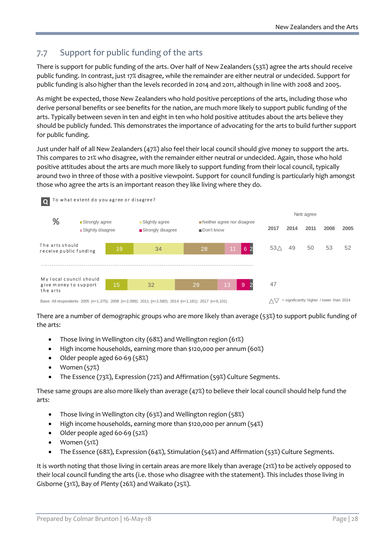# 7.7 Support for public funding of the arts

There is support for public funding of the arts. Over half of New Zealanders (53%) agree the arts should receive public funding. In contrast, just 17% disagree, while the remainder are either neutral or undecided. Support for public funding is also higher than the levels recorded in 2014 and 2011, although in line with 2008 and 2005.

As might be expected, those New Zealanders who hold positive perceptions of the arts, including those who derive personal benefits or see benefits for the nation, are much more likely to support public funding of the arts. Typically between seven in ten and eight in ten who hold positive attitudes about the arts believe they should be publicly funded. This demonstrates the importance of advocating for the arts to build further support for public funding.

Just under half of all New Zealanders (47%) also feel their local council should give money to support the arts. This compares to 21% who disagree, with the remainder either neutral or undecided. Again, those who hold positive attitudes about the arts are much more likely to support funding from their local council, typically around two in three of those with a positive viewpoint. Support for council funding is particularly high amongst those who agree the arts is an important reason they like living where they do.



There are a number of demographic groups who are more likely than average (53%) to support public funding of the arts:

- Those living in Wellington city (68%) and Wellington region (61%)
- High income households, earning more than \$120,000 per annum (60%)
- Older people aged 60-69 (58%)
- Women (57%)
- The Essence (73%), Expression (72%) and Affirmation (59%) Culture Segments.

These same groups are also more likely than average (47%) to believe their local council should help fund the arts:

- Those living in Wellington city (63%) and Wellington region (58%)
- High income households, earning more than \$120,000 per annum (54%)
- Older people aged 60-69 (52%)
- Women (51%)
- The Essence (68%), Expression (64%), Stimulation (54%) and Affirmation (53%) Culture Segments.

It is worth noting that those living in certain areas are more likely than average (21%) to be actively opposed to their local council funding the arts (i.e. those who disagree with the statement). This includes those living in Gisborne (31%), Bay of Plenty (26%) and Waikato (25%).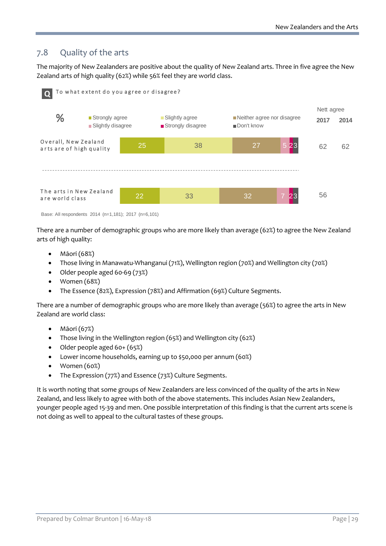# 7.8 Quality of the arts

The majority of New Zealanders are positive about the quality of New Zealand arts. Three in five agree the New Zealand arts of high quality (62%) while 56% feel they are world class.



Base: All respondents 2014 (n=1,181); 2017 (n=6,101)

There are a number of demographic groups who are more likely than average (62%) to agree the New Zealand arts of high quality:

- Māori (68%)
- Those living in Manawatu-Whanganui (71%), Wellington region (70%) and Wellington city (70%)
- Older people aged 60-69 (73%)
- Women (68%)
- The Essence (82%), Expression (78%) and Affirmation (69%) Culture Segments.

There are a number of demographic groups who are more likely than average (56%) to agree the arts in New Zealand are world class:

- Māori (67%)
- Those living in the Wellington region (65%) and Wellington city (62%)
- Older people aged 60+ (65%)
- Lower income households, earning up to \$50,000 per annum (60%)
- Women (60%)
- The Expression (77%) and Essence (73%) Culture Segments.

It is worth noting that some groups of New Zealanders are less convinced of the quality of the arts in New Zealand, and less likely to agree with both of the above statements. This includes Asian New Zealanders, younger people aged 15-39 and men. One possible interpretation of this finding is that the current arts scene is not doing as well to appeal to the cultural tastes of these groups.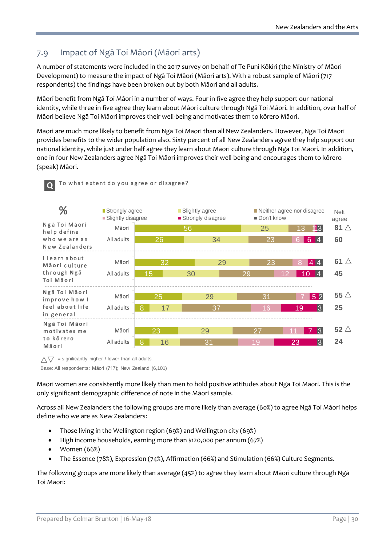# 7.9 Impact of Ngā Toi Māori (Māori arts)

A number of statements were included in the 2017 survey on behalf of Te Puni Kōkiri (the Ministry of Māori Development) to measure the impact of Ngā Toi Māori (Māori arts). With a robust sample of Māori (717 respondents) the findings have been broken out by both Māori and all adults.

Māori benefit from Ngā Toi Māori in a number of ways. Four in five agree they help support our national identity, while three in five agree they learn about Māori culture through Ngā Toi Māori. In addition, over half of Māori believe Ngā Toi Māori improves their well-being and motivates them to kōrero Māori.

Māori are much more likely to benefit from Ngā Toi Māori than all New Zealanders. However, Ngā Toi Māori provides benefits to the wider population also. Sixty percent of all New Zealanders agree they help support our national identity, while just under half agree they learn about Māori culture through Ngā Toi Māori. In addition, one in four New Zealanders agree Ngā Toi Māori improves their well-being and encourages them to kōrero (speak) Māori.



#### To what extent do you agree or disagree? **Q**



 $\wedge \nabla$  = significantly higher / lower than all adults

Base: All respondents: Māori (717); New Zealand (6,101)

Māori women are consistently more likely than men to hold positive attitudes about Ngā Toi Māori. This is the only significant demographic difference of note in the Māori sample.

Across all New Zealanders the following groups are more likely than average (60%) to agree Ngā Toi Māori helps define who we are as New Zealanders:

- Those living in the Wellington region (69%) and Wellington city (69%)
- High income households, earning more than \$120,000 per annum (67%)
- Women (66%)
- The Essence (78%), Expression (74%), Affirmation (66%) and Stimulation (66%) Culture Segments.

The following groups are more likely than average (45%) to agree they learn about Māori culture through Ngā Toi Māori: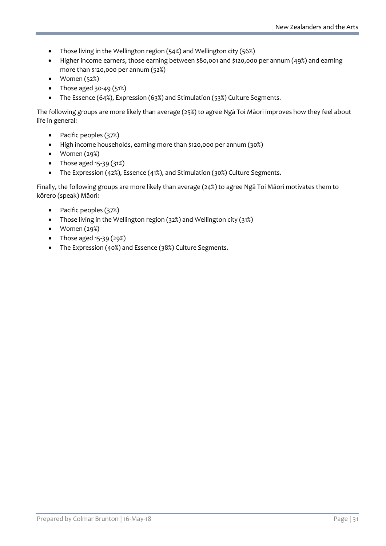- Those living in the Wellington region (54%) and Wellington city (56%)
- Higher income earners, those earning between \$80,001 and \$120,000 per annum (49%) and earning more than \$120,000 per annum (52%)
- Women (52%)
- Those aged  $30-49(51%)$
- The Essence (64%), Expression (63%) and Stimulation (53%) Culture Segments.

The following groups are more likely than average (25%) to agree Ngā Toi Māori improves how they feel about life in general:

- Pacific peoples (37%)
- High income households, earning more than \$120,000 per annum (30%)
- Women (29%)
- Those aged  $15-39$  ( $31\%$ )
- The Expression (42%), Essence (41%), and Stimulation (30%) Culture Segments.

Finally, the following groups are more likely than average (24%) to agree Ngā Toi Māori motivates them to kōrero (speak) Māori:

- Pacific peoples (37%)
- Those living in the Wellington region (32%) and Wellington city (31%)
- Women (29%)
- Those aged  $15-39(29%)$
- The Expression (40%) and Essence (38%) Culture Segments.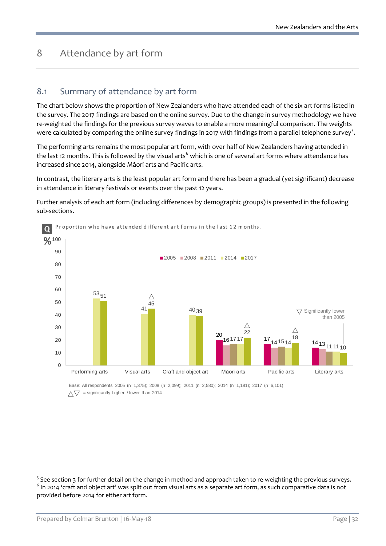# <span id="page-31-0"></span>8 Attendance by art form

### 8.1 Summary of attendance by art form

The chart below shows the proportion of New Zealanders who have attended each of the six art forms listed in the survey. The 2017 findings are based on the online survey. Due to the change in survey methodology we have re-weighted the findings for the previous survey waves to enable a more meaningful comparison. The weights were calculated by comparing the online survey findings in 2017 with findings from a parallel telephone survey<sup>[5](#page-31-1)</sup>.

The performing arts remains the most popular art form, with over half of New Zealanders having attended in the last 12 months. This is followed by the visual arts<sup>[6](#page-31-2)</sup> which is one of several art forms where attendance has increased since 2014, alongside Māori arts and Pacific arts.

In contrast, the literary arts is the least popular art form and there has been a gradual (yet significant) decrease in attendance in literary festivals or events over the past 12 years.

Further analysis of each art form (including differences by demographic groups) is presented in the following sub-sections.



**O** Proportion who have attended different art forms in the last 12 months.

Base: All respondents 2005 (n=1,375); 2008 (n=2,099); 2011 (n=2,580); 2014 (n=1,181); 2017 (n=6,101)  $\wedge \nabla$  = significantly higher / lower than 2014

<span id="page-31-2"></span><span id="page-31-1"></span><sup>&</sup>lt;sup>5</sup> See section 3 for further detail on the change in method and approach taken to re-weighting the previous surveys.  $6$  In 2014 'craft and object art' was split out from visual arts as a separate art form, as such comparative data is not provided before 2014 for either art form.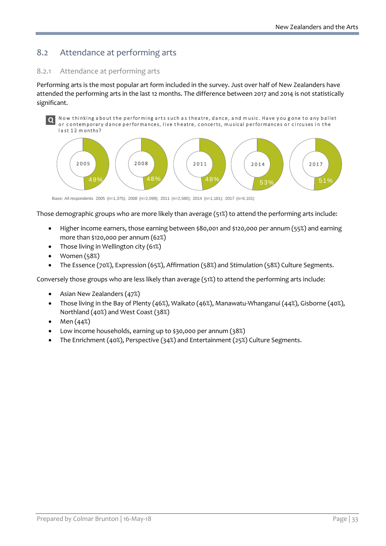# 8.2 Attendance at performing arts

#### 8.2.1 Attendance at performing arts

Performing arts is the most popular art form included in the survey. Just over half of New Zealanders have attended the performing arts in the last 12 months. The difference between 2017 and 2014 is not statistically significant.

Now thinking a bout the performing arts such a s theatre, dance, a nd m usic. Have y ou g one to any ballet or contemporary dance performances, live theatre, concerts, musical performances or circuses in the last 12 months? **Q**



Base: All respondents 2005 (n=1,375); 2008 (n=2,099); 2011 (n=2,580); 2014 (n=1,181); 2017 (n=6,101)

Those demographic groups who are more likely than average (51%) to attend the performing arts include:

- Higher income earners, those earning between \$80,001 and \$120,000 per annum (55%) and earning more than \$120,000 per annum (62%)
- Those living in Wellington city (61%)
- Women (58%)
- The Essence (70%), Expression (65%), Affirmation (58%) and Stimulation (58%) Culture Segments.

Conversely those groups who are less likely than average (51%) to attend the performing arts include:

- Asian New Zealanders (47%)
- Those living in the Bay of Plenty (46%), Waikato (46%), Manawatu-Whanganui (44%), Gisborne (40%), Northland (40%) and West Coast (38%)
- Men (44%)
- Low income households, earning up to \$30,000 per annum (38%)
- The Enrichment (40%), Perspective (34%) and Entertainment (25%) Culture Segments.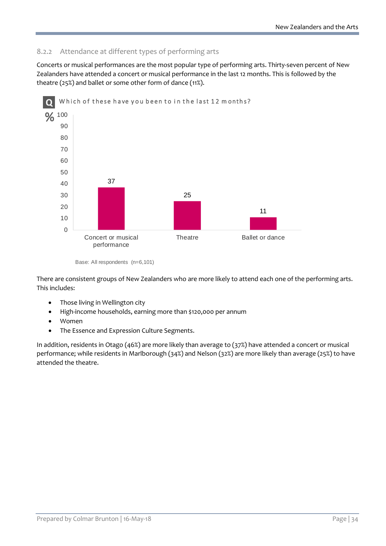#### 8.2.2 Attendance at different types of performing arts

Concerts or musical performances are the most popular type of performing arts. Thirty-seven percent of New Zealanders have attended a concert or musical performance in the last 12 months. This is followed by the theatre (25%) and ballet or some other form of dance (11%).



Base: All respondents (n=6,101)

There are consistent groups of New Zealanders who are more likely to attend each one of the performing arts. This includes:

- Those living in Wellington city
- High-income households, earning more than \$120,000 per annum
- Women
- The Essence and Expression Culture Segments.

In addition, residents in Otago (46%) are more likely than average to (37%) have attended a concert or musical performance; while residents in Marlborough (34%) and Nelson (32%) are more likely than average (25%) to have attended the theatre.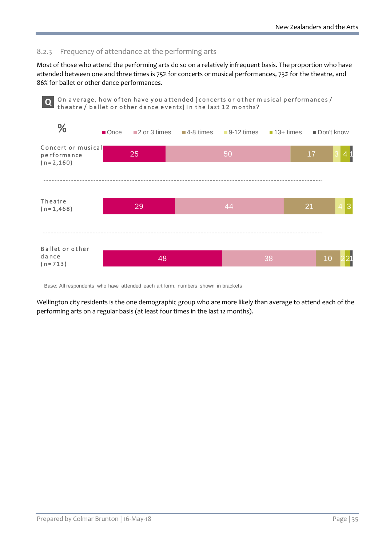#### 8.2.3 Frequency of attendance at the performing arts

Most of those who attend the performing arts do so on a relatively infrequent basis. The proportion who have attended between one and three times is 75% for concerts or musical performances, 73% for the theatre, and 86% for ballet or other dance performances.



Base: All respondents who have attended each art form, numbers shown in brackets

Wellington city residents is the one demographic group who are more likely than average to attend each of the performing arts on a regular basis (at least four times in the last 12 months).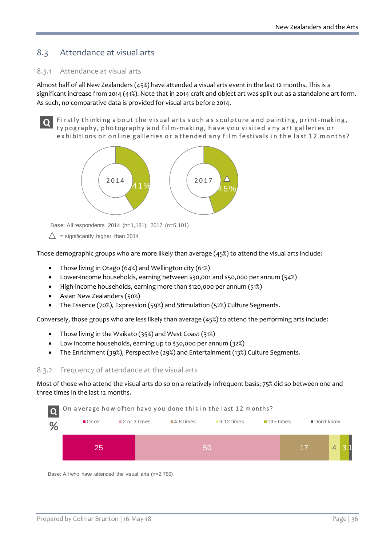# 8.3 Attendance at visual arts

#### 8.3.1 Attendance at visual arts

Almost half of all New Zealanders (45%) have attended a visual arts event in the last 12 months. This is a significant increase from 2014 (41%). Note that in 2014 craft and object art was split out as a standalone art form. As such, no comparative data is provided for visual arts before 2014.

Firstly thinking about the visual arts such as sculpture and painting, print-making, ty pography, photography a nd f ilm-making, have y ou v isited a ny art galleries or exhibitions or online galleries or attended any film festivals in the last 12 months? **Q**



Base: All respondents 2014 (n=1,181); 2017 (n=6,101)

 $\triangle$  = significantly higher than 2014

Those demographic groups who are more likely than average (45%) to attend the visual arts include:

- Those living in Otago (64%) and Wellington city (61%)
- Lower-income households, earning between \$30,001 and \$50,000 per annum (54%)
- High-income households, earning more than \$120,000 per annum (51%)
- Asian New Zealanders (50%)
- The Essence (70%), Expression (59%) and Stimulation (52%) Culture Segments.

Conversely, those groups who are less likely than average (45%) to attend the performing arts include:

- Those living in the Waikato (35%) and West Coast (31%)
- Low income households, earning up to \$30,000 per annum (32%)
- The Enrichment (39%), Perspective (29%) and Entertainment (13%) Culture Segments.

#### 8.3.2 Frequency of attendance at the visual arts

Most of those who attend the visual arts do so on a relatively infrequent basis; 75% did so between one and three times in the last 12 months.



Base: All who have attended the visual arts (n=2,786)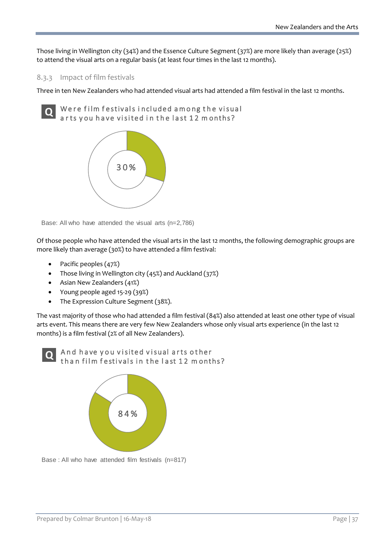Those living in Wellington city (34%) and the Essence Culture Segment (37%) are more likely than average (25%) to attend the visual arts on a regular basis (at least four times in the last 12 months).

### 8.3.3 Impact of film festivals

Three in ten New Zealanders who had attended visual arts had attended a film festival in the last 12 months.

Were film festivals included among the visual ar ts you have visited in the last 12 months? **Q**



Base: All who have attended the visual arts (n=2,786)

Of those people who have attended the visual arts in the last 12 months, the following demographic groups are more likely than average (30%) to have attended a film festival:

- Pacific peoples (47%)
- Those living in Wellington city (45%) and Auckland (37%)
- Asian New Zealanders (41%)
- Young people aged 15-29 (39%)
- The Expression Culture Segment (38%).

The vast majority of those who had attended a film festival (84%) also attended at least one other type of visual arts event. This means there are very few New Zealanders whose only visual arts experience (in the last 12 months) is a film festival (2% of all New Zealanders).





Base : All who have attended film festivals (n=817)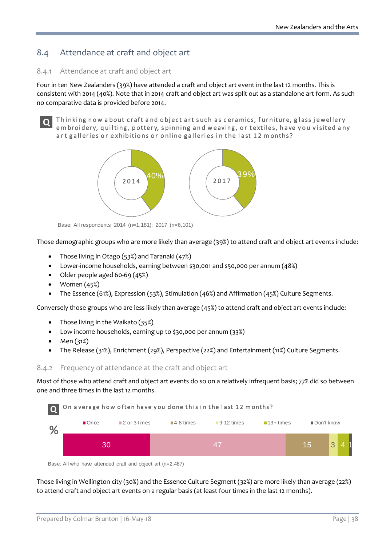## 8.4 Attendance at craft and object art

### 8.4.1 Attendance at craft and object art

Four in ten New Zealanders (39%) have attended a craft and object art event in the last 12 months. This is consistent with 2014 (40%). Note that in 2014 craft and object art was split out as a standalone art form. As such no comparative data is provided before 2014.

**Q**

T hinking now a bout craft a nd object art such as c eramics, f urniture, g lass j ewellery em broidery, quilting, pottery, spinning and weaving, or textiles, have you visited any art galleries or exhibitions or online galleries in the last 12 months?



Base: All respondents 2014 (n=1,181); 2017 (n=6,101)

Those demographic groups who are more likely than average (39%) to attend craft and object art events include:

- Those living in Otago (53%) and Taranaki (47%)
- Lower-income households, earning between \$30,001 and \$50,000 per annum (48%)
- Older people aged 60-69 (45%)
- Women  $(45%)$
- The Essence (61%), Expression (53%), Stimulation (46%) and Affirmation (45%) Culture Segments.

Conversely those groups who are less likely than average (45%) to attend craft and object art events include:

- Those living in the Waikato (35%)
- Low income households, earning up to \$30,000 per annum (33%)
- Men (31%)
- The Release (31%), Enrichment (29%), Perspective (22%) and Entertainment (11%) Culture Segments.

#### 8.4.2 Frequency of attendance at the craft and object art

Most of those who attend craft and object art events do so on a relatively infrequent basis; 77% did so between one and three times in the last 12 months.



Base: All who have attended craft and object art (n=2,487)

Those living in Wellington city (30%) and the Essence Culture Segment (32%) are more likely than average (22%) to attend craft and object art events on a regular basis (at least four times in the last 12 months).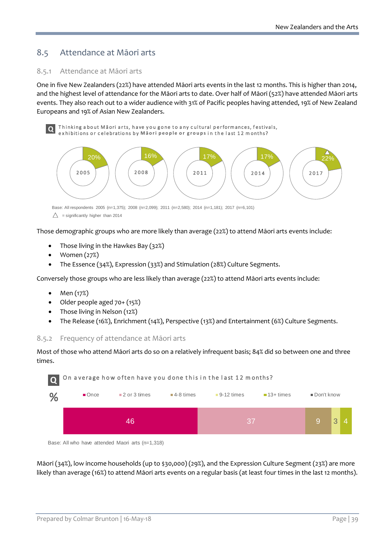## 8.5 Attendance at Māori arts

### 8.5.1 Attendance at Māori arts

One in five New Zealanders (22%) have attended Māori arts events in the last 12 months. This is higher than 2014, and the highest level of attendance for the Māori arts to date. Over half of Māori (52%) have attended Māori arts events. They also reach out to a wider audience with 31% of Pacific peoples having attended, 19% of New Zealand Europeans and 19% of Asian New Zealanders.

Thinking about Māori arts, have you gone to any cultural performances, festivals, **Q** Thinking about Māori arts, have you gone to any cultural perrormances, restiventions or celebrations by Māori people or groups in the last 12 months?



Base: All respondents 2005 (n=1,375); 2008 (n=2,099); 2011 (n=2,580); 2014 (n=1,181); 2017 (n=6,101)

Those demographic groups who are more likely than average (22%) to attend Māori arts events include:

- Those living in the Hawkes Bay (32%)
- Women (27%)
- The Essence (34%), Expression (33%) and Stimulation (28%) Culture Segments.

Conversely those groups who are less likely than average (22%) to attend Māori arts events include:

- Men (17%)
- Older people aged 70+ (15%)
- Those living in Nelson (12%)
- The Release (16%), Enrichment (14%), Perspective (13%) and Entertainment (6%) Culture Segments.

### 8.5.2 Frequency of attendance at Māori arts

Most of those who attend Māori arts do so on a relatively infrequent basis; 84% did so between one and three times.



Base: All who have attended Maori arts (n=1,318)

Māori (34%), low income households (up to \$30,000) (29%), and the Expression Culture Segment (23%) are more likely than average (16%) to attend Māori arts events on a regular basis (at least four times in the last 12 months).

 $\triangle$  = significantly higher than 2014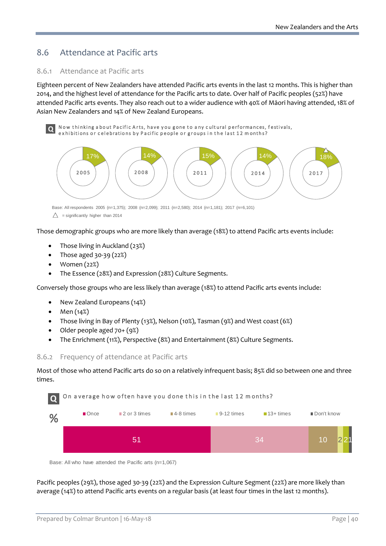## 8.6 Attendance at Pacific arts

#### 8.6.1 Attendance at Pacific arts

Eighteen percent of New Zealanders have attended Pacific arts events in the last 12 months. This is higher than 2014, and the highest level of attendance for the Pacific arts to date. Over half of Pacific peoples (52%) have attended Pacific arts events. They also reach out to a wider audience with 40% of Māori having attended, 18% of Asian New Zealanders and 14% of New Zealand Europeans.

Now thinking about Pacific Arts, have you gone to any cultural performances, festivals, external new thinking about Pacific Arts, have you gone to any cultural performances,<br>**Q** exhibitions or celebrations by Pacific people or groups in the last 12 months?



Base: All respondents 2005 (n=1,375); 2008 (n=2,099); 2011 (n=2,580); 2014 (n=1,181); 2017 (n=6,101)

Those demographic groups who are more likely than average (18%) to attend Pacific arts events include:

- Those living in Auckland (23%)
- Those aged 30-39 (22%)
- Women (22%)
- The Essence (28%) and Expression (28%) Culture Segments.

Conversely those groups who are less likely than average (18%) to attend Pacific arts events include:

- New Zealand Europeans (14%)
- Men (14%)
- Those living in Bay of Plenty (13%), Nelson (10%), Tasman (9%) and West coast (6%)
- Older people aged 70+ (9%)
- The Enrichment (11%), Perspective (8%) and Entertainment (8%) Culture Segments.

#### 8.6.2 Frequency of attendance at Pacific arts

Most of those who attend Pacific arts do so on a relatively infrequent basis; 85% did so between one and three times.



Base: All who have attended the Pacific arts (n=1,067)

Pacific peoples (29%), those aged 30-39 (22%) and the Expression Culture Segment (22%) are more likely than average (14%) to attend Pacific arts events on a regular basis (at least four times in the last 12 months).

 $\triangle$  = significantly higher than 2014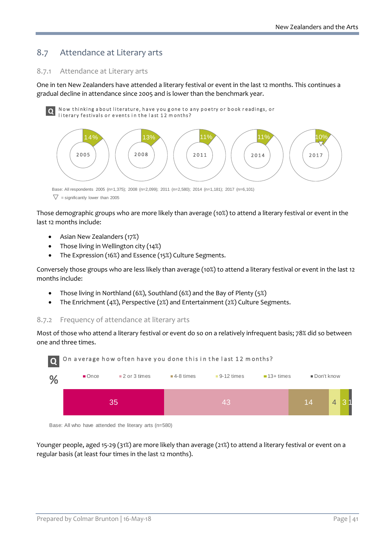## 8.7 Attendance at Literary arts

### 8.7.1 Attendance at Literary arts

One in ten New Zealanders have attended a literary festival or event in the last 12 months. This continues a gradual decline in attendance since 2005 and is lower than the benchmark year.

Now thinking a bout literature, have y ou g one to any poetry or book r eadings, or **Q** Now thinking about literature, have you gone to a literary festivals or events in the last 12 m onths?



Base: All respondents 2005 (n=1,375); 2008 (n=2,099); 2011 (n=2,580); 2014 (n=1,181); 2017 (n=6,101)  $\nabla$  = significantly lower than 2005

Those demographic groups who are more likely than average (10%) to attend a literary festival or event in the last 12 months include:

- Asian New Zealanders (17%)
- Those living in Wellington city (14%)
- The Expression (16%) and Essence (15%) Culture Segments.

Conversely those groups who are less likely than average (10%) to attend a literary festival or event in the last 12 months include:

- Those living in Northland (6%), Southland (6%) and the Bay of Plenty (5%)
- The Enrichment (4%), Perspective (2%) and Entertainment (2%) Culture Segments.

### 8.7.2 Frequency of attendance at literary arts

Most of those who attend a literary festival or event do so on a relatively infrequent basis; 78% did so between one and three times.





Younger people, aged 15-29 (31%) are more likely than average (21%) to attend a literary festival or event on a regular basis (at least four times in the last 12 months).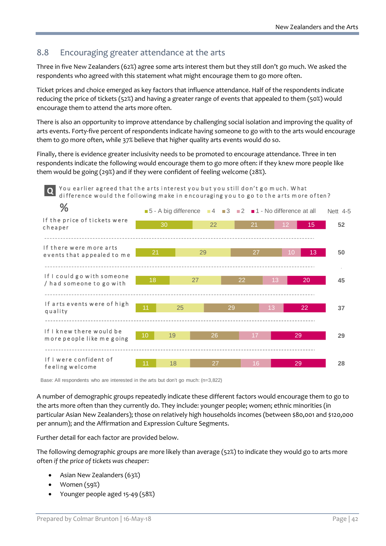## 8.8 Encouraging greater attendance at the arts

Three in five New Zealanders (62%) agree some arts interest them but they still don't go much. We asked the respondents who agreed with this statement what might encourage them to go more often.

Ticket prices and choice emerged as key factors that influence attendance. Half of the respondents indicate reducing the price of tickets (52%) and having a greater range of events that appealed to them (50%) would encourage them to attend the arts more often.

There is also an opportunity to improve attendance by challenging social isolation and improving the quality of arts events. Forty-five percent of respondents indicate having someone to go with to the arts would encourage them to go more often, while 37% believe that higher quality arts events would do so.

Finally, there is evidence greater inclusivity needs to be promoted to encourage attendance. Three in ten respondents indicate the following would encourage them to go more often: if they knew more people like them would be going (29%) and if they were confident of feeling welcome (28%).



Base: All respondents who are interested in the arts but don't go much: (n=3,822)

A number of demographic groups repeatedly indicate these different factors would encourage them to go to the arts more often than they currently do. They include: younger people; women; ethnic minorities (in particular Asian New Zealanders); those on relatively high households incomes (between \$80,001 and \$120,000 per annum); and the Affirmation and Expression Culture Segments.

Further detail for each factor are provided below.

The following demographic groups are more likely than average (52%) to indicate they would go to arts more often *if the price of tickets was cheaper*:

- Asian New Zealanders (63%)
- Women (59%)
- Younger people aged 15-49 (58%)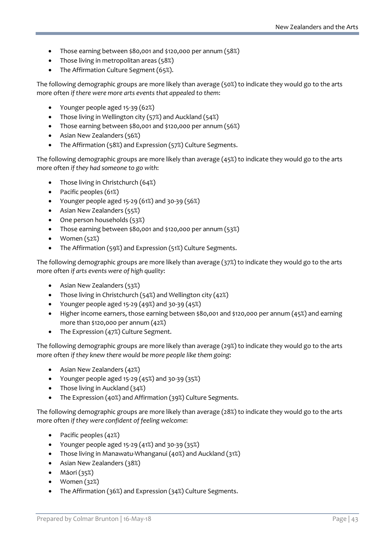- Those earning between \$80,001 and \$120,000 per annum (58%)
- Those living in metropolitan areas (58%)
- The Affirmation Culture Segment (65%).

The following demographic groups are more likely than average (50%) to indicate they would go to the arts more often *if there were more arts events that appealed to them*:

- Younger people aged 15-39 (62%)
- Those living in Wellington city (57%) and Auckland (54%)
- Those earning between \$80,001 and \$120,000 per annum (56%)
- Asian New Zealanders (56%)
- The Affirmation (58%) and Expression (57%) Culture Segments.

The following demographic groups are more likely than average (45%) to indicate they would go to the arts more often *if they had someone to go with*:

- Those living in Christchurch (64%)
- Pacific peoples (61%)
- Younger people aged 15-29 (61%) and 30-39 (56%)
- Asian New Zealanders (55%)
- One person households (53%)
- Those earning between \$80,001 and \$120,000 per annum (53%)
- Women (52%)
- The Affirmation (59%) and Expression (51%) Culture Segments.

The following demographic groups are more likely than average (37%) to indicate they would go to the arts more often *if arts events were of high quality*:

- Asian New Zealanders (53%)
- Those living in Christchurch (54%) and Wellington city (42%)
- Younger people aged  $15-29$  (49%) and  $30-39$  (45%)
- Higher income earners, those earning between \$80,001 and \$120,000 per annum (45%) and earning more than \$120,000 per annum (42%)
- The Expression (47%) Culture Segment.

The following demographic groups are more likely than average (29%) to indicate they would go to the arts more often *if they knew there would be more people like them going*:

- Asian New Zealanders (42%)
- Younger people aged 15-29 (45%) and 30-39 (35%)
- Those living in Auckland (34%)
- The Expression (40%) and Affirmation (39%) Culture Segments.

The following demographic groups are more likely than average (28%) to indicate they would go to the arts more often *if they were confident of feeling welcome*:

- Pacific peoples (42%)
- Younger people aged 15-29 (41%) and 30-39 (35%)
- Those living in Manawatu-Whanganui (40%) and Auckland (31%)
- Asian New Zealanders (38%)
- Māori (35%)
- Women (32%)
- The Affirmation (36%) and Expression (34%) Culture Segments.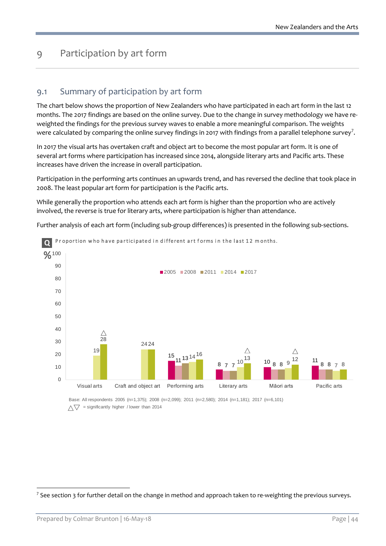# 9 Participation by art form

## 9.1 Summary of participation by art form

The chart below shows the proportion of New Zealanders who have participated in each art form in the last 12 months. The 2017 findings are based on the online survey. Due to the change in survey methodology we have reweighted the findings for the previous survey waves to enable a more meaningful comparison. The weights were calculated by comparing the online survey findings in 201[7](#page-43-0) with findings from a parallel telephone survey<sup>7</sup>.

In 2017 the visual arts has overtaken craft and object art to become the most popular art form. It is one of several art forms where participation has increased since 2014, alongside literary arts and Pacific arts. These increases have driven the increase in overall participation.

Participation in the performing arts continues an upwards trend, and has reversed the decline that took place in 2008. The least popular art form for participation is the Pacific arts.

While generally the proportion who attends each art form is higher than the proportion who are actively involved, the reverse is true for literary arts, where participation is higher than attendance.

Further analysis of each art form (including sub-group differences) is presented in the following sub-sections.



Base: All respondents 2005 (n=1,375); 2008 (n=2,099); 2011 (n=2,580); 2014 (n=1,181); 2017 (n=6,101)  $\wedge \nabla$  = significantly higher / lower than 2014

<span id="page-43-0"></span> $7$  See section 3 for further detail on the change in method and approach taken to re-weighting the previous surveys.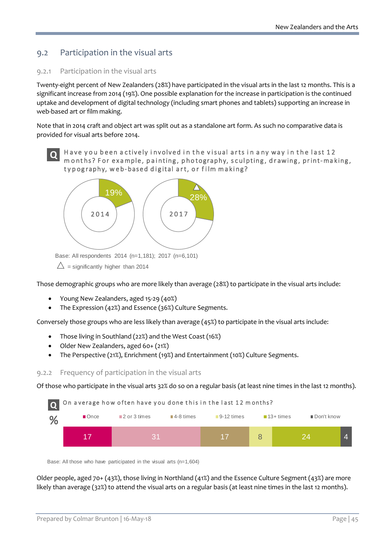## 9.2 Participation in the visual arts

### 9.2.1 Participation in the visual arts

Twenty-eight percent of New Zealanders (28%) have participated in the visual arts in the last 12 months. This is a significant increase from 2014 (19%). One possible explanation for the increase in participation is the continued uptake and development of digital technology (including smart phones and tablets) supporting an increase in web-based art or film making.

Note that in 2014 craft and object art was split out as a standalone art form. As such no comparative data is provided for visual arts before 2014.



Have you been actively involved in the visual arts in any way in the last 12 m onths? For example, painting, photography, s culpting, drawing, print-making, ty pography, web-based digital art, or film making?



Base: All respondents 2014 (n=1,181); 2017 (n=6,101)

 $\triangle$  = significantly higher than 2014

Those demographic groups who are more likely than average (28%) to participate in the visual arts include:

- Young New Zealanders, aged 15-29 (40%)
- The Expression (42%) and Essence (36%) Culture Segments.

Conversely those groups who are less likely than average (45%) to participate in the visual arts include:

- Those living in Southland (22%) and the West Coast (16%)
- Older New Zealanders, aged 60+ (21%)
- The Perspective (21%), Enrichment (19%) and Entertainment (10%) Culture Segments.

#### 9.2.2 Frequency of participation in the visual arts

Of those who participate in the visual arts 32% do so on a regular basis (at least nine times in the last 12 months).



Base: All those who have participated in the visual arts (n=1,604)

Older people, aged 70+ (43%), those living in Northland (41%) and the Essence Culture Segment (43%) are more likely than average (32%) to attend the visual arts on a regular basis (at least nine times in the last 12 months).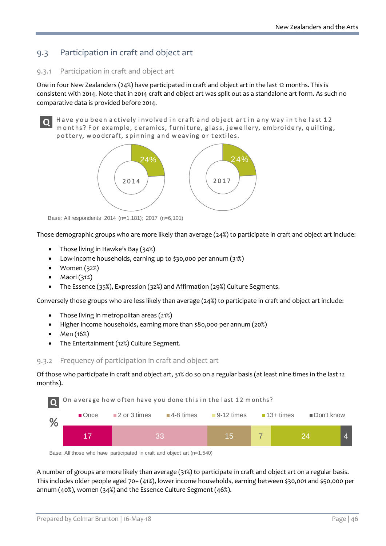## 9.3 Participation in craft and object art

### 9.3.1 Participation in craft and object art

One in four New Zealanders (24%) have participated in craft and object art in the last 12 months. This is consistent with 2014. Note that in 2014 craft and object art was split out as a standalone art form. As such no comparative data is provided before 2014.

# **Q**

Have you been actively involved in craft and object art in any way in the last 12 m onths? For example, c eramics, f urniture, glass, j ewellery, embroidery, quilting, pottery, w oodcraft, s pinning and w eaving or textiles.



Base: All respondents 2014 (n=1,181); 2017 (n=6,101)

Those demographic groups who are more likely than average (24%) to participate in craft and object art include:

- Those living in Hawke's Bay (34%)
- Low-income households, earning up to \$30,000 per annum (31%)
- Women (32%)
- Māori (31%)
- The Essence (35%), Expression (32%) and Affirmation (29%) Culture Segments.

Conversely those groups who are less likely than average (24%) to participate in craft and object art include:

- Those living in metropolitan areas (21%)
- Higher income households, earning more than \$80,000 per annum (20%)
- Men (16%)
- The Entertainment (12%) Culture Segment.

### 9.3.2 Frequency of participation in craft and object art

Of those who participate in craft and object art, 31% do so on a regular basis (at least nine times in the last 12 months).



Base: All those who have participated in craft and object art (n=1,540)

A number of groups are more likely than average (31%) to participate in craft and object art on a regular basis. This includes older people aged 70+ (41%), lower income households, earning between \$30,001 and \$50,000 per annum (40%), women (34%) and the Essence Culture Segment (46%).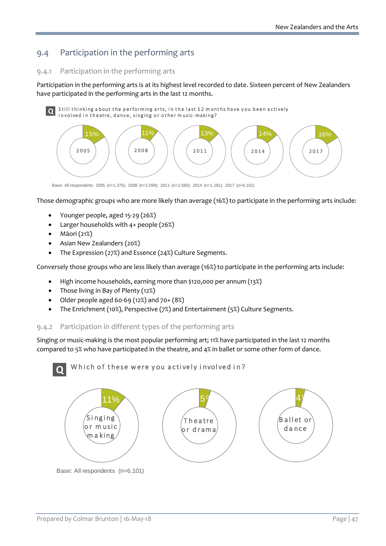## 9.4 Participation in the performing arts

## 9.4.1 Participation in the performing arts

Participation in the performing arts is at its highest level recorded to date. Sixteen percent of New Zealanders have participated in the performing arts in the last 12 months.

Still thinking a bout the performing arts, in the last 12 months have you been actively **Q** Still thinking about the performing arts, in the last 12 mon<br>involved in theatre, dance, singing or other music-making?



Base: All respondents 2005 (n=1,375); 2008 (n=2,099); 2011 (n=2,580); 2014 (n=1,181); 2017 (n=6,101)

Those demographic groups who are more likely than average (16%) to participate in the performing arts include:

- Younger people, aged 15-29 (26%)
- Larger households with 4+ people (26%)
- Māori (21%)
- Asian New Zealanders (20%)
- The Expression (27%) and Essence (24%) Culture Segments.

Conversely those groups who are less likely than average (16%) to participate in the performing arts include:

- High income households, earning more than \$120,000 per annum (13%)
- Those living in Bay of Plenty (12%)
- Older people aged 60-69 (12%) and 70+ (8%)
- The Enrichment (10%), Perspective (7%) and Entertainment (5%) Culture Segments.

## 9.4.2 Participation in different types of the performing arts

Singing or music-making is the most popular performing art; 11% have participated in the last 12 months compared to 5% who have participated in the theatre, and 4% in ballet or some other form of dance.

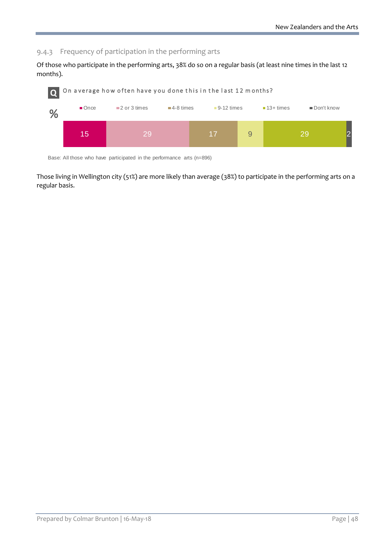### 9.4.3 Frequency of participation in the performing arts

Of those who participate in the performing arts, 38% do so on a regular basis (at least nine times in the last 12 months).



Base: All those who have participated in the performance arts (n=896)

Those living in Wellington city (51%) are more likely than average (38%) to participate in the performing arts on a regular basis.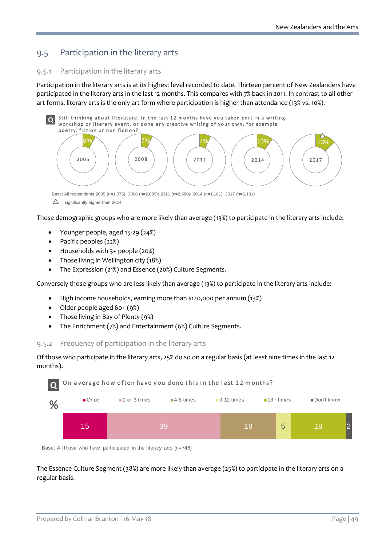## 9.5 Participation in the literary arts

### 9.5.1 Participation in the literary arts

Participation in the literary arts is at its highest level recorded to date. Thirteen percent of New Zealanders have participated in the literary arts in the last 12 months. This compares with 7% back in 2011. In contrast to all other art forms, literary arts is the only art form where participation is higher than attendance (13% vs. 10%).



Base: All respondents 2005 (n=1,375); 2008 (n=2,099); 2011 (n=2,580); 2014 (n=1,181); 2017 (n=6,101)  $\triangle$  = significantly higher than 2014

Those demographic groups who are more likely than average (13%) to participate in the literary arts include:

- Younger people, aged 15-29 (24%)
- Pacific peoples (22%)
- Households with 3+ people (20%)
- Those living in Wellington city (18%)
- The Expression (21%) and Essence (20%) Culture Segments.

Conversely those groups who are less likely than average (13%) to participate in the literary arts include:

- High income households, earning more than \$120,000 per annum (13%)
- Older people aged 60+ (9%)
- Those living in Bay of Plenty (9%)
- The Enrichment (7%) and Entertainment (6%) Culture Segments.

#### 9.5.2 Frequency of participation in the literary arts

Of those who participate in the literary arts, 25% do so on a regular basis (at least nine times in the last 12 months).



Base: All those who have participated in the literary arts (n=746)

The Essence Culture Segment (38%) are more likely than average (25%) to participate in the literary arts on a regular basis.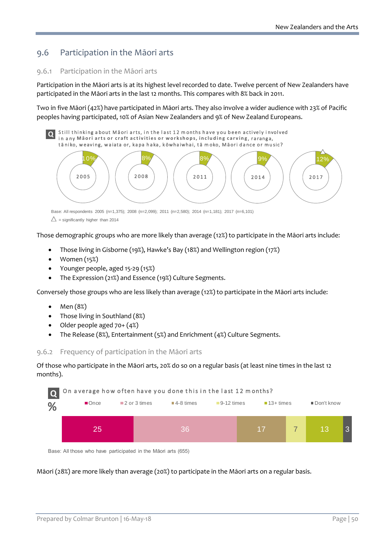## 9.6 Participation in the Māori arts

### 9.6.1 Participation in the Māori arts

Participation in the Māori arts is at its highest level recorded to date. Twelve percent of New Zealanders have participated in the Māori arts in the last 12 months. This compares with 8% back in 2011.

Two in five Māori (42%) have participated in Māori arts. They also involve a wider audience with 23% of Pacific peoples having participated, 10% of Asian New Zealanders and 9% of New Zealand Europeans.



Base: All respondents 2005 (n=1,375); 2008 (n=2,099); 2011 (n=2,580); 2014 (n=1,181); 2017 (n=6,101)

 $\triangle$  = significantly higher than 2014

Those demographic groups who are more likely than average (12%) to participate in the Māori arts include:

- Those living in Gisborne (19%), Hawke's Bay (18%) and Wellington region (17%)
- Women (15%)
- Younger people, aged 15-29 (15%)
- The Expression (21%) and Essence (19%) Culture Segments.

Conversely those groups who are less likely than average (12%) to participate in the Māori arts include:

- Men (8%)
- Those living in Southland (8%)
- Older people aged 70+ (4%)
- The Release (8%), Entertainment (5%) and Enrichment (4%) Culture Segments.

9.6.2 Frequency of participation in the Māori arts

Of those who participate in the Māori arts, 20% do so on a regular basis (at least nine times in the last 12 months).



Base: All those who have participated in the Māori arts (655)

Māori (28%) are more likely than average (20%) to participate in the Māori arts on a regular basis.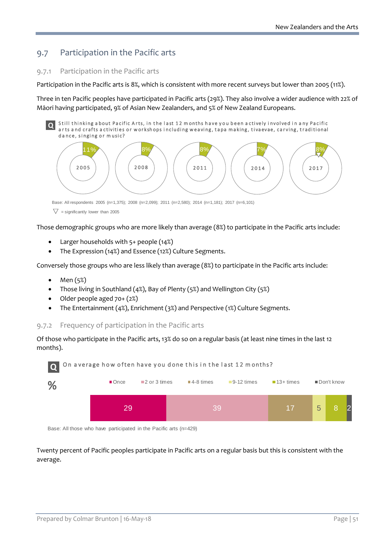## 9.7 Participation in the Pacific arts

### 9.7.1 Participation in the Pacific arts

Participation in the Pacific arts is 8%, which is consistent with more recent surveys but lower than 2005 (11%).

Three in ten Pacific peoples have participated in Pacific arts (29%). They also involve a wider audience with 22% of Māori having participated, 9% of Asian New Zealanders, and 5% of New Zealand Europeans.

Still thinking about Pacific Arts, in the last 12 months have you been actively involved in any Pacific arts and crafts activities or workshops including weaving, tapa making, tivaevae, carving, traditional da nce, singing or m usic? **Q**



Base: All respondents 2005 (n=1,375); 2008 (n=2,099); 2011 (n=2,580); 2014 (n=1,181); 2017 (n=6,101)

Those demographic groups who are more likely than average (8%) to participate in the Pacific arts include:

- Larger households with 5+ people (14%)
- The Expression (14%) and Essence (12%) Culture Segments.

Conversely those groups who are less likely than average (8%) to participate in the Pacific arts include:

- Men (5%)
- Those living in Southland (4%), Bay of Plenty (5%) and Wellington City (5%)
- Older people aged 70+ (2%)
- The Entertainment (4%), Enrichment (3%) and Perspective (1%) Culture Segments.

#### 9.7.2 Frequency of participation in the Pacific arts

Of those who participate in the Pacific arts, 13% do so on a regular basis (at least nine times in the last 12 months).



Base: All those who have participated in the Pacific arts (n=429)

Twenty percent of Pacific peoples participate in Pacific arts on a regular basis but this is consistent with the average.

 $\nabla$  = significantly lower than 2005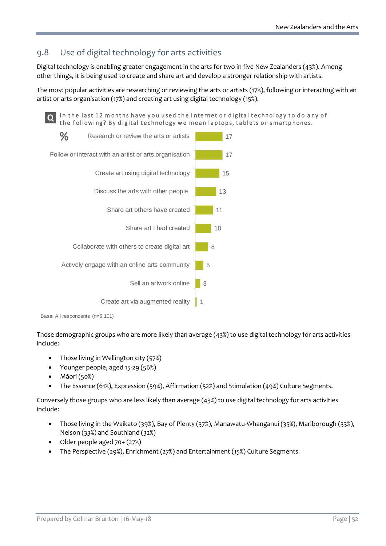## 9.8 Use of digital technology for arts activities

Digital technology is enabling greater engagement in the arts for two in five New Zealanders (43%). Among other things, it is being used to create and share art and develop a stronger relationship with artists.

The most popular activities are researching or reviewing the arts or artists (17%), following or interacting with an artist or arts organisation (17%) and creating art using digital technology (15%).

In the last 12 months have you used the internet or digital technology to do any of **Q** In the last 12 months have you used the internet or digital technology to do are the following? By digital technology we mean laptops, tablets or smartphones.



Base: All respondents (n=6,101)

Those demographic groups who are more likely than average (43%) to use digital technology for arts activities include:

- Those living in Wellington city (57%)
- Younger people, aged 15-29 (56%)
- Māori (50%)
- The Essence (61%), Expression (59%), Affirmation (52%) and Stimulation (49%) Culture Segments.

Conversely those groups who are less likely than average (43%) to use digital technology for arts activities include:

- Those living in the Waikato (39%), Bay of Plenty (37%), Manawatu-Whanganui (35%), Marlborough (33%), Nelson (33%) and Southland (32%)
- Older people aged 70+ (27%)
- The Perspective (29%), Enrichment (27%) and Entertainment (15%) Culture Segments.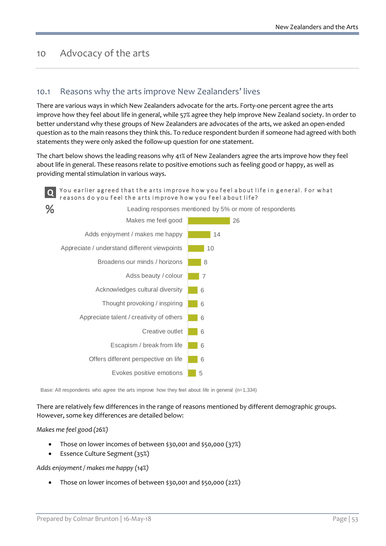## 10 Advocacy of the arts

## 10.1 Reasons why the arts improve New Zealanders' lives

There are various ways in which New Zealanders advocate for the arts. Forty-one percent agree the arts improve how they feel about life in general, while 57% agree they help improve New Zealand society. In order to better understand why these groups of New Zealanders are advocates of the arts, we asked an open-ended question as to the main reasons they think this. To reduce respondent burden if someone had agreed with both statements they were only asked the follow-up question for one statement.

The chart below shows the leading reasons why 41% of New Zealanders agree the arts improve how they feel about life in general. These reasons relate to positive emotions such as feeling good or happy, as well as providing mental stimulation in various ways.

#### You earlier agreed that the arts improve how you feel about life in general. For what r easons do y ou f eel the arts improve how y ou f eel a bout life? **Q**



Base: All respondents who agree the arts improve how they feel about life in general (n=1,334)

There are relatively few differences in the range of reasons mentioned by different demographic groups. However, some key differences are detailed below:

#### *Makes me feel good (26%)*

- Those on lower incomes of between \$30,001 and \$50,000 (37%)
- Essence Culture Segment (35%)

*Adds enjoyment / makes me happy (14%)*

• Those on lower incomes of between \$30,001 and \$50,000 (22%)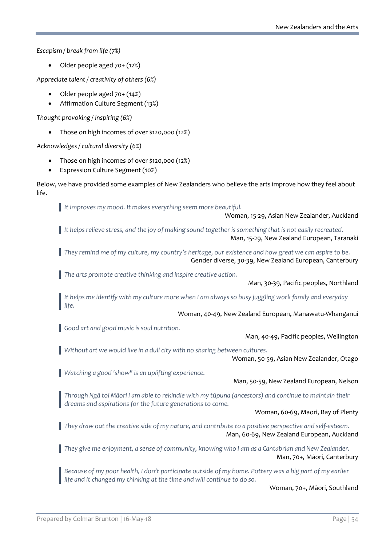*Escapism / break from life (7%)*

• Older people aged 70+ (12%)

*Appreciate talent / creativity of others (6%)*

- Older people aged 70+ (14%)
- Affirmation Culture Segment (13%)

*Thought provoking / inspiring (6%)*

• Those on high incomes of over \$120,000 (12%)

*Acknowledges / cultural diversity (6%)*

- Those on high incomes of over \$120,000 (12%)
- Expression Culture Segment (10%)

Below, we have provided some examples of New Zealanders who believe the arts improve how they feel about life.

*It improves my mood. It makes everything seem more beautiful.*

Woman, 15-29, Asian New Zealander, Auckland

*It helps relieve stress, and the joy of making sound together is something that is not easily recreated.* Man, 15-29, New Zealand European, Taranaki

*They remind me of my culture, my country's heritage, our existence and how great we can aspire to be.* Gender diverse, 30-39, New Zealand European, Canterbury

*The arts promote creative thinking and inspire creative action.* 

Man, 30-39, Pacific peoples, Northland

*It helps me identify with my culture more when I am always so busy juggling work family and everyday life.*

Woman, 40-49, New Zealand European, Manawatu-Whanganui

*Good art and good music is soul nutrition.*

Man, 40-49, Pacific peoples, Wellington

*Without art we would live in a dull city with no sharing between cultures.*

Woman, 50-59, Asian New Zealander, Otago

*Watching a good 'show" is an uplifting experience.*

#### Man, 50-59, New Zealand European, Nelson

*Through Ngā toi Māori I am able to rekindle with my tūpuna (ancestors) and continue to maintain their dreams and aspirations for the future generations to come.*

Woman, 60-69, Māori, Bay of Plenty

*They draw out the creative side of my nature, and contribute to a positive perspective and self-esteem.* Man, 60-69, New Zealand European, Auckland

*They give me enjoyment, a sense of community, knowing who I am as a Cantabrian and New Zealander.* Man, 70+, Māori, Canterbury

*Because of my poor health, I don't participate outside of my home. Pottery was a big part of my earlier life and it changed my thinking at the time and will continue to do so.*

Woman, 70+, Māori, Southland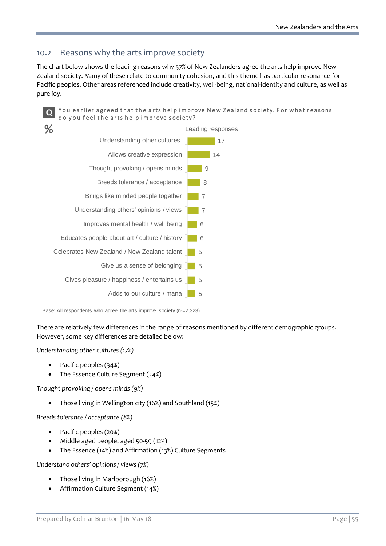## 10.2 Reasons why the arts improve society

The chart below shows the leading reasons why 57% of New Zealanders agree the arts help improve New Zealand society. Many of these relate to community cohesion, and this theme has particular resonance for Pacific peoples. Other areas referenced include creativity, well-being, national-identity and culture, as well as pure joy.

#### You earlier agreed that the arts help improve New Zealand society. For what reasons **Q** You earlier agreed that the arts help improve society?



Base: All respondents who agree the arts improve society (n-=2,323)

There are relatively few differences in the range of reasons mentioned by different demographic groups. However, some key differences are detailed below:

#### *Understanding other cultures (17%)*

- Pacific peoples (34%)
- The Essence Culture Segment (24%)

*Thought provoking / opens minds (9%)*

• Those living in Wellington city (16%) and Southland (15%)

*Breeds tolerance / acceptance (8%)*

- Pacific peoples (20%)
- Middle aged people, aged 50-59 (12%)
- The Essence (14%) and Affirmation (13%) Culture Segments

*Understand others' opinions / views (7%)*

- Those living in Marlborough (16%)
- Affirmation Culture Segment (14%)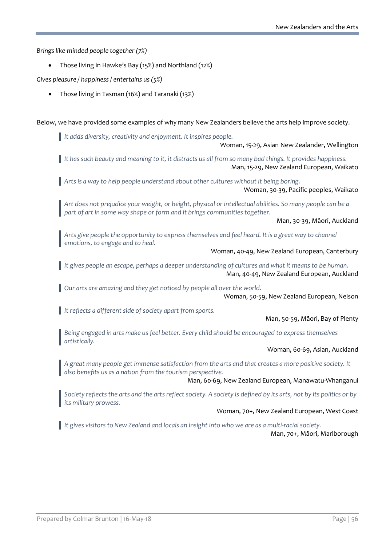*Brings like-minded people together (7%)*

• Those living in Hawke's Bay (15%) and Northland (12%)

*Gives pleasure / happiness / entertains us (5%)*

• Those living in Tasman (16%) and Taranaki (13%)

Below, we have provided some examples of why many New Zealanders believe the arts help improve society.

*It adds diversity, creativity and enjoyment. It inspires people.*

Woman, 15-29, Asian New Zealander, Wellington

*It has such beauty and meaning to it, it distracts us all from so many bad things. It provides happiness.* Man, 15-29, New Zealand European, Waikato

*Arts is a way to help people understand about other cultures without it being boring.* Woman, 30-39, Pacific peoples, Waikato

*Art does not prejudice your weight, or height, physical or intellectual abilities. So many people can be a part of art in some way shape or form and it brings communities together.*

Man, 30-39, Māori, Auckland

*Arts give people the opportunity to express themselves and feel heard. It is a great way to channel emotions, to engage and to heal.*

Woman, 40-49, New Zealand European, Canterbury

*It gives people an escape, perhaps a deeper understanding of cultures and what it means to be human.* Man, 40-49, New Zealand European, Auckland

*Our arts are amazing and they get noticed by people all over the world.*  Woman, 50-59, New Zealand European, Nelson

*It reflects a different side of society apart from sports.*

Man, 50-59, Māori, Bay of Plenty

*Being engaged in arts make us feel better. Every child should be encouraged to express themselves artistically.*

Woman, 60-69, Asian, Auckland

*A great many people get immense satisfaction from the arts and that creates a more positive society. It also benefits us as a nation from the tourism perspective.*

Man, 60-69, New Zealand European, Manawatu-Whanganui

*Society reflects the arts and the arts reflect society. A society is defined by its arts, not by its politics or by its military prowess.* 

#### Woman, 70+, New Zealand European, West Coast

*It gives visitors to New Zealand and locals an insight into who we are as a multi-racialsociety.*

Man, 70+, Māori, Marlborough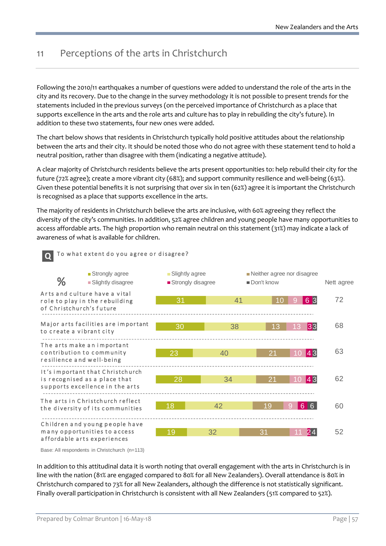# 11 Perceptions of the arts in Christchurch

To what extent do you agree or disagree? **Q**

Following the 2010/11 earthquakes a number of questions were added to understand the role of the arts in the city and its recovery. Due to the change in the survey methodology it is not possible to present trends for the statements included in the previous surveys (on the perceived importance of Christchurch as a place that supports excellence in the arts and the role arts and culture has to play in rebuilding the city's future). In addition to these two statements, four new ones were added.

The chart below shows that residents in Christchurch typically hold positive attitudes about the relationship between the arts and their city. It should be noted those who do not agree with these statement tend to hold a neutral position, rather than disagree with them (indicating a negative attitude).

A clear majority of Christchurch residents believe the arts present opportunities to: help rebuild their city for the future (72% agree); create a more vibrant city (68%); and support community resilience and well-being (63%). Given these potential benefits it is not surprising that over six in ten (62%) agree it is important the Christchurch is recognised as a place that supports excellence in the arts.

The majority of residents in Christchurch believe the arts are inclusive, with 60% agreeing they reflect the diversity of the city's communities. In addition, 52% agree children and young people have many opportunities to access affordable arts. The high proportion who remain neutral on this statement (31%) may indicate a lack of awareness of what is available for children.



Base: All respondents in Christchurch (n=113)

In addition to this attitudinal data it is worth noting that overall engagement with the arts in Christchurch is in line with the nation (81% are engaged compared to 80% for all New Zealanders). Overall attendance is 80% in Christchurch compared to 73% for all New Zealanders, although the difference is not statistically significant. Finally overall participation in Christchurch is consistent with all New Zealanders (51% compared to 52%).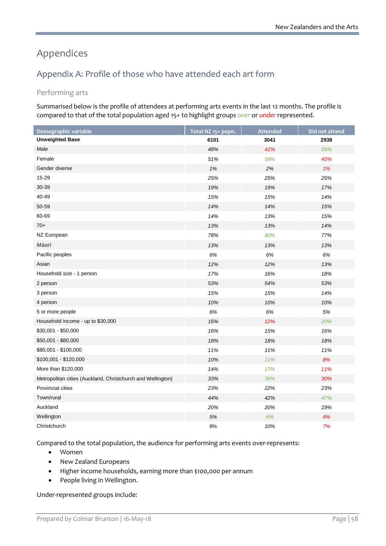# Appendices

# Appendix A: Profile of those who have attended each art form

## Performing arts

Summarised below is the profile of attendees at performing arts events in the last 12 months. The profile is compared to that of the total population aged 15+ to highlight groups *over* or *under* represented.

| Demographic variable                                        | Total NZ 15+ popn. | <b>Attended</b> | Did not attend |
|-------------------------------------------------------------|--------------------|-----------------|----------------|
| <b>Unweighted Base</b>                                      | 6101               | 3041            | 2938           |
| Male                                                        | 48%                | 41%             | 55%            |
| Female                                                      | 51%                | 58%             | 45%            |
| Gender diverse                                              | 1%                 | 2%              | 1%             |
| 15-29                                                       | 25%                | 25%             | 25%            |
| 30-39                                                       | 19%                | 19%             | 17%            |
| 40-49                                                       | 15%                | 15%             | 14%            |
| 50-59                                                       | 14%                | 14%             | 15%            |
| 60-69                                                       | 14%                | 13%             | 15%            |
| $70+$                                                       | 13%                | 13%             | 14%            |
| NZ European                                                 | 78%                | 80%             | 77%            |
| Māori                                                       | 13%                | 13%             | 13%            |
| Pacific peoples                                             | 6%                 | 6%              | 6%             |
| Asian                                                       | 12%                | 12%             | 13%            |
| Household size - 1 person                                   | 17%                | 16%             | 18%            |
| 2 person                                                    | 53%                | 54%             | 53%            |
| 3 person                                                    | 15%                | 15%             | 14%            |
| 4 person                                                    | 10%                | 10%             | 10%            |
| 5 or more people                                            | 6%                 | 6%              | 5%             |
| Household income - up to \$30,000                           | 16%                | 12%             | 20%            |
| \$30,001 - \$50,000                                         | 16%                | 15%             | 16%            |
| \$50,001 - \$80,000                                         | 18%                | 18%             | 18%            |
| \$80,001 - \$100,000                                        | 11%                | 11%             | 11%            |
| \$100,001 - \$120,000                                       | 10%                | 11%             | 8%             |
| More than \$120,000                                         | 14%                | 17%             | 11%            |
| Metropolitan cities (Auckland, Christchurch and Wellington) | 33%                | 36%             | 30%            |
| Provincial cities                                           | 23%                | 22%             | 23%            |
| Town/rural                                                  | 44%                | 42%             | 47%            |
| Auckland                                                    | 20%                | 20%             | 19%            |
| Wellington                                                  | $5\%$              | 6%              | 4%             |
| Christchurch                                                | 8%                 | 10%             | 7%             |

Compared to the total population, the audience for performing arts events over-represents:

- Women
- New Zealand Europeans
- Higher income households, earning more than \$100,000 per annum
- People living in Wellington.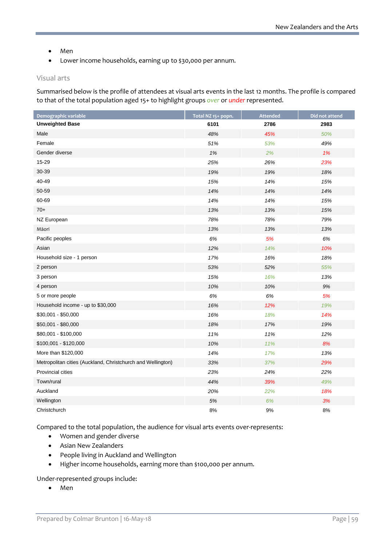- Men
- Lower income households, earning up to \$30,000 per annum.

#### Visual arts

Summarised below is the profile of attendees at visual arts events in the last 12 months. The profile is compared to that of the total population aged 15+ to highlight groups *over* or *under* represented.

| Demographic variable                                        | Total NZ 15+ popn. | <b>Attended</b> | Did not attend |
|-------------------------------------------------------------|--------------------|-----------------|----------------|
| <b>Unweighted Base</b>                                      | 6101               | 2786            | 2983           |
| Male                                                        | 48%                | 45%             | 50%            |
| Female                                                      | 51%                | 53%             | 49%            |
| Gender diverse                                              | 1%                 | 2%              | 1%             |
| 15-29                                                       | 25%                | 26%             | 23%            |
| 30-39                                                       | 19%                | 19%             | 18%            |
| 40-49                                                       | 15%                | 14%             | 15%            |
| 50-59                                                       | 14%                | 14%             | 14%            |
| 60-69                                                       | 14%                | 14%             | 15%            |
| $70+$                                                       | 13%                | 13%             | 15%            |
| NZ European                                                 | 78%                | 78%             | 79%            |
| Māori                                                       | 13%                | 13%             | 13%            |
| Pacific peoples                                             | 6%                 | 5%              | 6%             |
| Asian                                                       | 12%                | 14%             | 10%            |
| Household size - 1 person                                   | 17%                | 16%             | 18%            |
| 2 person                                                    | 53%                | 52%             | 55%            |
| 3 person                                                    | 15%                | 16%             | 13%            |
| 4 person                                                    | 10%                | 10%             | 9%             |
| 5 or more people                                            | 6%                 | 6%              | 5%             |
| Household income - up to \$30,000                           | 16%                | 12%             | 19%            |
| $$30,001 - $50,000$                                         | 16%                | 18%             | 14%            |
| \$50,001 - \$80,000                                         | 18%                | 17%             | 19%            |
| \$80,001 - \$100,000                                        | 11%                | 11%             | 12%            |
| \$100,001 - \$120,000                                       | 10%                | 11%             | 8%             |
| More than \$120,000                                         | 14%                | 17%             | 13%            |
| Metropolitan cities (Auckland, Christchurch and Wellington) | 33%                | 37%             | 29%            |
| Provincial cities                                           | 23%                | 24%             | 22%            |
| Town/rural                                                  | 44%                | 39%             | 49%            |
| Auckland                                                    | 20%                | 22%             | 18%            |
| Wellington                                                  | 5%                 | 6%              | 3%             |
| Christchurch                                                | 8%                 | 9%              | 8%             |

Compared to the total population, the audience for visual arts events over-represents:

- Women and gender diverse
- Asian New Zealanders
- People living in Auckland and Wellington
- Higher income households, earning more than \$100,000 per annum.

Under-represented groups include:

• Men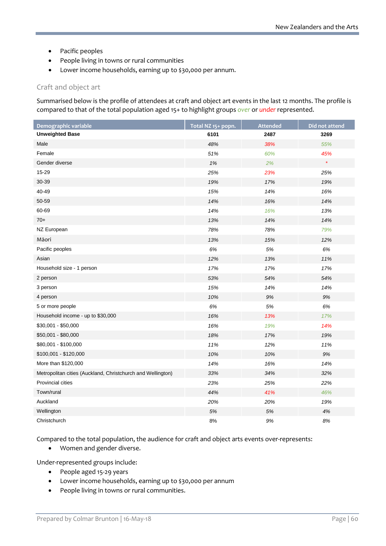- Pacific peoples
- People living in towns or rural communities
- Lower income households, earning up to \$30,000 per annum.

### Craft and object art

Summarised below is the profile of attendees at craft and object art events in the last 12 months. The profile is compared to that of the total population aged 15+ to highlight groups *over* or *under* represented.

| Demographic variable                                        | Total NZ 15+ popn. | <b>Attended</b> | Did not attend |
|-------------------------------------------------------------|--------------------|-----------------|----------------|
| <b>Unweighted Base</b>                                      | 6101               | 2487            | 3269           |
| Male                                                        | 48%                | 38%             | 55%            |
| Female                                                      | 51%                | 60%             | 45%            |
| Gender diverse                                              | $1\%$              | 2%              | $\star$        |
| 15-29                                                       | 25%                | 23%             | 25%            |
| 30-39                                                       | 19%                | 17%             | 19%            |
| 40-49                                                       | 15%                | 14%             | 16%            |
| 50-59                                                       | 14%                | 16%             | 14%            |
| 60-69                                                       | 14%                | 16%             | 13%            |
| $70+$                                                       | 13%                | 14%             | 14%            |
| NZ European                                                 | 78%                | 78%             | 79%            |
| Māori                                                       | 13%                | 15%             | 12%            |
| Pacific peoples                                             | 6%                 | 5%              | 6%             |
| Asian                                                       | 12%                | 13%             | 11%            |
| Household size - 1 person                                   | 17%                | 17%             | 17%            |
| 2 person                                                    | 53%                | 54%             | 54%            |
| 3 person                                                    | 15%                | 14%             | 14%            |
| 4 person                                                    | 10%                | $9\%$           | 9%             |
| 5 or more people                                            | 6%                 | 5%              | 6%             |
| Household income - up to \$30,000                           | 16%                | 13%             | 17%            |
| \$30,001 - \$50,000                                         | 16%                | 19%             | 14%            |
| \$50,001 - \$80,000                                         | 18%                | 17%             | 19%            |
| \$80,001 - \$100,000                                        | 11%                | 12%             | 11%            |
| \$100,001 - \$120,000                                       | 10%                | 10%             | 9%             |
| More than \$120,000                                         | 14%                | 16%             | 14%            |
| Metropolitan cities (Auckland, Christchurch and Wellington) | 33%                | 34%             | 32%            |
| Provincial cities                                           | 23%                | 25%             | 22%            |
| Town/rural                                                  | 44%                | 41%             | 46%            |
| Auckland                                                    | 20%                | 20%             | 19%            |
| Wellington                                                  | 5%                 | $5\%$           | 4%             |
| Christchurch                                                | 8%                 | 9%              | 8%             |

Compared to the total population, the audience for craft and object arts events over-represents:

• Women and gender diverse.

- People aged 15-29 years
- Lower income households, earning up to \$30,000 per annum
- People living in towns or rural communities.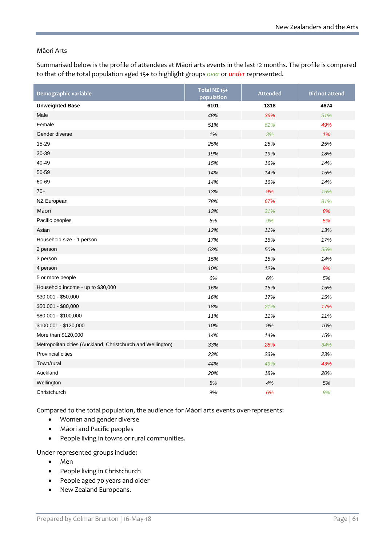#### Māori Arts

Summarised below is the profile of attendees at Māori arts events in the last 12 months. The profile is compared to that of the total population aged 15+ to highlight groups *over* or *under* represented.

| Demographic variable                                        | Total NZ 15+<br>population | <b>Attended</b> | Did not attend |
|-------------------------------------------------------------|----------------------------|-----------------|----------------|
| <b>Unweighted Base</b>                                      | 6101                       | 1318            | 4674           |
| Male                                                        | 48%                        | 36%             | 51%            |
| Female                                                      | 51%                        | 61%             | 49%            |
| Gender diverse                                              | 1%                         | 3%              | 1%             |
| 15-29                                                       | 25%                        | 25%             | 25%            |
| 30-39                                                       | 19%                        | 19%             | 18%            |
| 40-49                                                       | 15%                        | 16%             | 14%            |
| 50-59                                                       | 14%                        | 14%             | 15%            |
| 60-69                                                       | 14%                        | 16%             | 14%            |
| $70+$                                                       | 13%                        | 9%              | 15%            |
| NZ European                                                 | 78%                        | 67%             | 81%            |
| Māori                                                       | 13%                        | 31%             | 8%             |
| Pacific peoples                                             | 6%                         | 9%              | 5%             |
| Asian                                                       | 12%                        | 11%             | 13%            |
| Household size - 1 person                                   | 17%                        | 16%             | 17%            |
| 2 person                                                    | 53%                        | 50%             | 55%            |
| 3 person                                                    | 15%                        | 15%             | 14%            |
| 4 person                                                    | 10%                        | 12%             | 9%             |
| 5 or more people                                            | 6%                         | 6%              | 5%             |
| Household income - up to \$30,000                           | 16%                        | 16%             | 15%            |
| $$30,001 - $50,000$                                         | 16%                        | 17%             | 15%            |
| \$50,001 - \$80,000                                         | 18%                        | 21%             | 17%            |
| \$80,001 - \$100,000                                        | 11%                        | 11%             | 11%            |
| \$100,001 - \$120,000                                       | 10%                        | 9%              | 10%            |
| More than \$120,000                                         | 14%                        | 14%             | 15%            |
| Metropolitan cities (Auckland, Christchurch and Wellington) | 33%                        | 28%             | 34%            |
| <b>Provincial cities</b>                                    | 23%                        | 23%             | 23%            |
| Town/rural                                                  | 44%                        | 49%             | 43%            |
| Auckland                                                    | 20%                        | 18%             | 20%            |
| Wellington                                                  | 5%                         | 4%              | 5%             |
| Christchurch                                                | 8%                         | 6%              | 9%             |

Compared to the total population, the audience for Māori arts events over-represents:

- Women and gender diverse
- Māori and Pacific peoples
- People living in towns or rural communities.

- Men
- People living in Christchurch
- People aged 70 years and older
- New Zealand Europeans.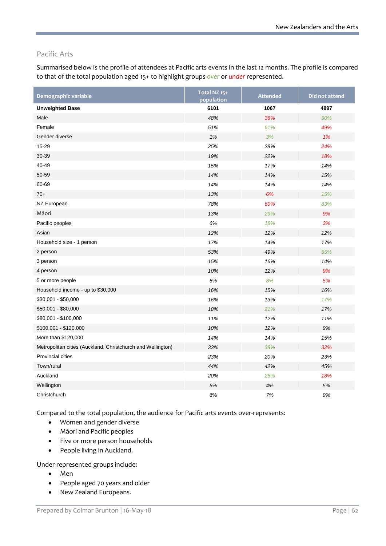## Pacific Arts

Summarised below is the profile of attendees at Pacific arts events in the last 12 months. The profile is compared to that of the total population aged 15+ to highlight groups *over* or *under* represented.

| Demographic variable                                        | Total NZ 15+<br>population | <b>Attended</b> | Did not attend |
|-------------------------------------------------------------|----------------------------|-----------------|----------------|
| <b>Unweighted Base</b>                                      | 6101                       | 1067            | 4897           |
| Male                                                        | 48%                        | 36%             | 50%            |
| Female                                                      | 51%                        | 61%             | 49%            |
| Gender diverse                                              | 1%                         | 3%              | 1%             |
| 15-29                                                       | 25%                        | 28%             | 24%            |
| 30-39                                                       | 19%                        | 22%             | 18%            |
| 40-49                                                       | 15%                        | 17%             | 14%            |
| 50-59                                                       | 14%                        | 14%             | 15%            |
| 60-69                                                       | 14%                        | 14%             | 14%            |
| $70+$                                                       | 13%                        | 6%              | 15%            |
| NZ European                                                 | 78%                        | 60%             | 83%            |
| Māori                                                       | 13%                        | 29%             | 9%             |
| Pacific peoples                                             | 6%                         | 18%             | 3%             |
| Asian                                                       | 12%                        | 12%             | 12%            |
| Household size - 1 person                                   | 17%                        | 14%             | 17%            |
| 2 person                                                    | 53%                        | 49%             | 55%            |
| 3 person                                                    | 15%                        | 16%             | 14%            |
| 4 person                                                    | 10%                        | 12%             | 9%             |
| 5 or more people                                            | 6%                         | 8%              | 5%             |
| Household income - up to \$30,000                           | 16%                        | 15%             | 16%            |
| \$30,001 - \$50,000                                         | 16%                        | 13%             | 17%            |
| \$50,001 - \$80,000                                         | 18%                        | 21%             | 17%            |
| \$80,001 - \$100,000                                        | 11%                        | 12%             | 11%            |
| \$100,001 - \$120,000                                       | 10%                        | 12%             | 9%             |
| More than \$120,000                                         | 14%                        | 14%             | 15%            |
| Metropolitan cities (Auckland, Christchurch and Wellington) | 33%                        | 38%             | 32%            |
| Provincial cities                                           | 23%                        | 20%             | 23%            |
| Town/rural                                                  | 44%                        | 42%             | 45%            |
| Auckland                                                    | 20%                        | 26%             | 18%            |
| Wellington                                                  | 5%                         | 4%              | 5%             |
| Christchurch                                                | 8%                         | 7%              | 9%             |

Compared to the total population, the audience for Pacific arts events over-represents:

- Women and gender diverse
- Māori and Pacific peoples
- Five or more person households
- People living in Auckland.

- Men
- People aged 70 years and older
- New Zealand Europeans.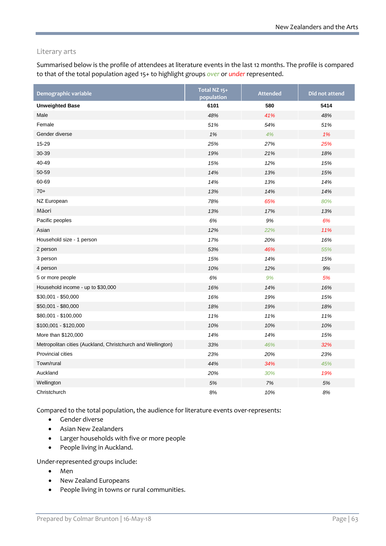### Literary arts

Summarised below is the profile of attendees at literature events in the last 12 months. The profile is compared to that of the total population aged 15+ to highlight groups *over* or *under* represented.

| Demographic variable                                        | Total NZ 15+<br>population | <b>Attended</b> | Did not attend |
|-------------------------------------------------------------|----------------------------|-----------------|----------------|
| <b>Unweighted Base</b>                                      | 6101                       | 580             | 5414           |
| Male                                                        | 48%                        | 41%             | 48%            |
| Female                                                      | 51%                        | 54%             | 51%            |
| Gender diverse                                              | 1%                         | 4%              | 1%             |
| 15-29                                                       | 25%                        | 27%             | 25%            |
| 30-39                                                       | 19%                        | 21%             | 18%            |
| 40-49                                                       | 15%                        | 12%             | 15%            |
| 50-59                                                       | 14%                        | 13%             | 15%            |
| 60-69                                                       | 14%                        | 13%             | 14%            |
| $70+$                                                       | 13%                        | 14%             | 14%            |
| NZ European                                                 | 78%                        | 65%             | 80%            |
| Māori                                                       | 13%                        | 17%             | 13%            |
| Pacific peoples                                             | 6%                         | 9%              | 6%             |
| Asian                                                       | 12%                        | 22%             | 11%            |
| Household size - 1 person                                   | 17%                        | 20%             | 16%            |
| 2 person                                                    | 53%                        | 46%             | 55%            |
| 3 person                                                    | 15%                        | 14%             | 15%            |
| 4 person                                                    | 10%                        | 12%             | 9%             |
| 5 or more people                                            | 6%                         | 9%              | 5%             |
| Household income - up to \$30,000                           | 16%                        | 14%             | 16%            |
| \$30,001 - \$50,000                                         | 16%                        | 19%             | 15%            |
| \$50,001 - \$80,000                                         | 18%                        | 19%             | 18%            |
| \$80,001 - \$100,000                                        | 11%                        | 11%             | 11%            |
| \$100,001 - \$120,000                                       | 10%                        | 10%             | 10%            |
| More than \$120,000                                         | 14%                        | 14%             | 15%            |
| Metropolitan cities (Auckland, Christchurch and Wellington) | 33%                        | 46%             | 32%            |
| Provincial cities                                           | 23%                        | 20%             | 23%            |
| Town/rural                                                  | 44%                        | 34%             | 45%            |
| Auckland                                                    | 20%                        | 30%             | 19%            |
| Wellington                                                  | 5%                         | 7%              | 5%             |
| Christchurch                                                | 8%                         | 10%             | 8%             |

Compared to the total population, the audience for literature events over-represents:

- Gender diverse
- Asian New Zealanders
- Larger households with five or more people
- People living in Auckland.

- Men
- New Zealand Europeans
- People living in towns or rural communities.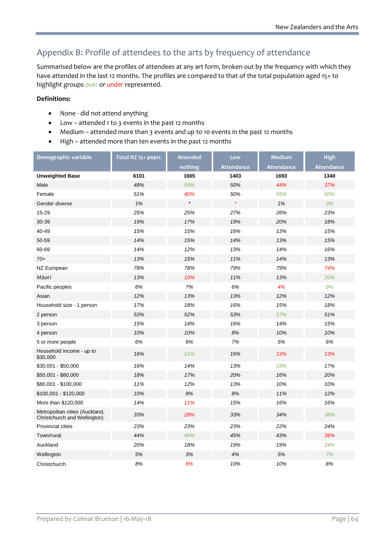## Appendix B: Profile of attendees to the arts by frequency of attendance

Summarised below are the profiles of attendees at any art form, broken out by the frequency with which they have attended in the last 12 months. The profiles are compared to that of the total population aged 15+ to highlight groups *over* or *under* represented.

### **Definitions:**

- None did not attend anything
- Low attended 1 to 3 events in the past 12 months
- Medium attended more than 3 events and up to 10 events in the past 12 months
- High attended more than ten events in the past 12 months

| Demographic variable                                           | Total NZ 15+ popn. | <b>Attended</b> | Low               | <b>Medium</b>     | <b>High</b>       |
|----------------------------------------------------------------|--------------------|-----------------|-------------------|-------------------|-------------------|
|                                                                |                    | nothing         | <b>Attendance</b> | <b>Attendance</b> | <b>Attendance</b> |
| <b>Unweighted Base</b>                                         | 6101               | 1665            | 1403              | 1693              | 1340              |
| Male                                                           | 48%                | 59%             | 50%               | 44%               | 37%               |
| Female                                                         | 51%                | 40%             | 50%               | 55%               | 60%               |
| Gender diverse                                                 | 1%                 | $\star$         | $\star$           | 1%                | 3%                |
| 15-29                                                          | 25%                | 25%             | 27%               | 26%               | 23%               |
| 30-39                                                          | 19%                | 17%             | 19%               | 20%               | 18%               |
| 40-49                                                          | 15%                | 15%             | 16%               | 13%               | 15%               |
| 50-59                                                          | 14%                | 15%             | 14%               | 13%               | 15%               |
| 60-69                                                          | 14%                | 12%             | 13%               | 14%               | 16%               |
| $70+$                                                          | 13%                | 15%             | 11%               | 14%               | 13%               |
| NZ European                                                    | 78%                | 78%             | 79%               | 79%               | 74%               |
| Māori                                                          | 13%                | 10%             | 11%               | 13%               | 20%               |
| Pacific peoples                                                | 6%                 | 7%              | 6%                | 4%                | 8%                |
| Asian                                                          | 12%                | 13%             | 13%               | 12%               | 12%               |
| Household size - 1 person                                      | 17%                | 18%             | 16%               | 15%               | 18%               |
| 2 person                                                       | 53%                | 52%             | 53%               | 57%               | 51%               |
| 3 person                                                       | 15%                | 14%             | 16%               | 14%               | 15%               |
| 4 person                                                       | 10%                | 10%             | 8%                | 10%               | 10%               |
| 5 or more people                                               | 6%                 | 6%              | 7%                | 5%                | 6%                |
| Household income - up to<br>\$30,000                           | 16%                | 21%             | 16%               | 13%               | 13%               |
| $$30,001 - $50,000$                                            | 16%                | 14%             | 13%               | 19%               | 17%               |
| \$50,001 - \$80,000                                            | 18%                | 17%             | 20%               | 16%               | 20%               |
| \$80,001 - \$100,000                                           | 11%                | 12%             | 13%               | 10%               | 10%               |
| \$100,001 - \$120,000                                          | 10%                | 8%              | 8%                | 11%               | 12%               |
| More than \$120,000                                            | 14%                | 11%             | 15%               | 16%               | 16%               |
| Metropolitan cities (Auckland,<br>Christchurch and Wellington) | 33%                | 28%             | 33%               | 34%               | 38%               |
| <b>Provincial cities</b>                                       | 23%                | 23%             | 23%               | 22%               | 24%               |
| Town/rural                                                     | 44%                | 49%             | 45%               | 43%               | 38%               |
| Auckland                                                       | 20%                | 18%             | 19%               | 19%               | 24%               |
| Wellington                                                     | 5%                 | 3%              | 4%                | 5%                | 7%                |
| Christchurch                                                   | 8%                 | 6%              | 10%               | 10%               | 8%                |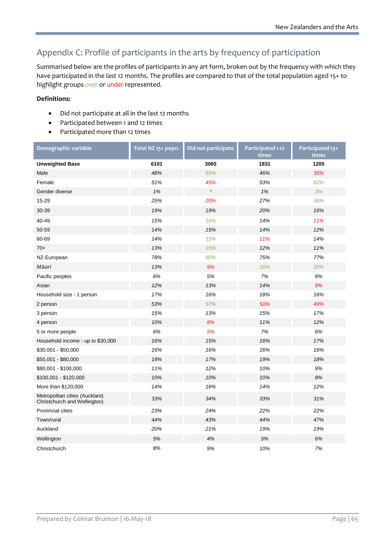# Appendix C: Profile of participants in the arts by frequency of participation

Summarised below are the profiles of participants in any art form, broken out by the frequency with which they have participated in the last 12 months. The profiles are compared to that of the total population aged 15+ to highlight groups *over* or *under* represented.

### **Definitions:**

- Did not participate at all in the last 12 months
- Participated between 1 and 12 times
- Participated more than 12 times

| Demographic variable                                           | Total NZ 15+ popn. | Did not participate | Participated 1-12<br>times | Participated 13+<br>times |
|----------------------------------------------------------------|--------------------|---------------------|----------------------------|---------------------------|
| <b>Unweighted Base</b>                                         | 6101               | 3065                | 1831                       | 1205                      |
| Male                                                           | 48%                | 55%                 | 46%                        | 35%                       |
| Female                                                         | 51%                | 45%                 | 53%                        | 62%                       |
| Gender diverse                                                 | 1%                 | $\star$             | 1%                         | 3%                        |
| 15-29                                                          | 25%                | 20%                 | 27%                        | 36%                       |
| 30-39                                                          | 19%                | 19%                 | 20%                        | 16%                       |
| 40-49                                                          | 15%                | 16%                 | 14%                        | 11%                       |
| 50-59                                                          | 14%                | 15%                 | 14%                        | 12%                       |
| 60-69                                                          | 14%                | 15%                 | 11%                        | 14%                       |
| $70+$                                                          | 13%                | 15%                 | 12%                        | 11%                       |
| NZ European                                                    | 78%                | 80%                 | 75%                        | 77%                       |
| Māori                                                          | 13%                | 9%                  | 16%                        | 20%                       |
| Pacific peoples                                                | 6%                 | 5%                  | 7%                         | 8%                        |
| Asian                                                          | 12%                | 13%                 | 14%                        | 9%                        |
| Household size - 1 person                                      | 17%                | 16%                 | 18%                        | 16%                       |
| 2 person                                                       | 53%                | 57%                 | 50%                        | 49%                       |
| 3 person                                                       | 15%                | 13%                 | 15%                        | 17%                       |
| 4 person                                                       | 10%                | 8%                  | 11%                        | 12%                       |
| 5 or more people                                               | 6%                 | 5%                  | 7%                         | 6%                        |
| Household income - up to \$30,000                              | 16%                | 15%                 | 16%                        | 17%                       |
| \$30,001 - \$50,000                                            | 16%                | 16%                 | 16%                        | 16%                       |
| \$50,001 - \$80,000                                            | 18%                | 17%                 | 19%                        | 18%                       |
| \$80,001 - \$100,000                                           | 11%                | 12%                 | 10%                        | 9%                        |
| \$100,001 - \$120,000                                          | 10%                | 10%                 | 10%                        | 8%                        |
| More than \$120,000                                            | 14%                | 16%                 | 14%                        | 12%                       |
| Metropolitan cities (Auckland,<br>Christchurch and Wellington) | 33%                | 34%                 | 33%                        | 31%                       |
| <b>Provincial cities</b>                                       | 23%                | 24%                 | 22%                        | 22%                       |
| Town/rural                                                     | 44%                | 43%                 | 44%                        | 47%                       |
| Auckland                                                       | 20%                | 21%                 | 19%                        | 19%                       |
| Wellington                                                     | 5%                 | 4%                  | 5%                         | 6%                        |
| Christchurch                                                   | 8%                 | 9%                  | 10%                        | 7%                        |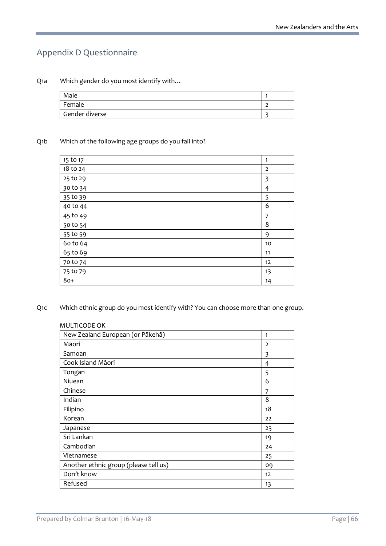## Appendix D Questionnaire

Q1a Which gender do you most identify with…

| Male           |  |
|----------------|--|
| Female         |  |
| Gender diverse |  |

#### Q1b Which of the following age groups do you fall into?

| 15 to 17 | 1              |
|----------|----------------|
| 18 to 24 | $\overline{2}$ |
| 25 to 29 | 3              |
| 30 to 34 | 4              |
| 35 to 39 | 5              |
| 40 to 44 | 6              |
| 45 to 49 | 7              |
| 50 to 54 | 8              |
| 55 to 59 | 9              |
| 60 to 64 | 10             |
| 65 to 69 | 11             |
| 70 to 74 | 12             |
| 75 to 79 | 13             |
| $80+$    | 14             |
|          |                |

Q1c Which ethnic group do you most identify with? You can choose more than one group.

### MULTICODE OK

| 1              |
|----------------|
| $\overline{2}$ |
| 3              |
| 4              |
| 5              |
| 6              |
| 7              |
| 8              |
| 18             |
| 22             |
| 23             |
| 19             |
| 24             |
| 25             |
| 09             |
| 12             |
| 13             |
|                |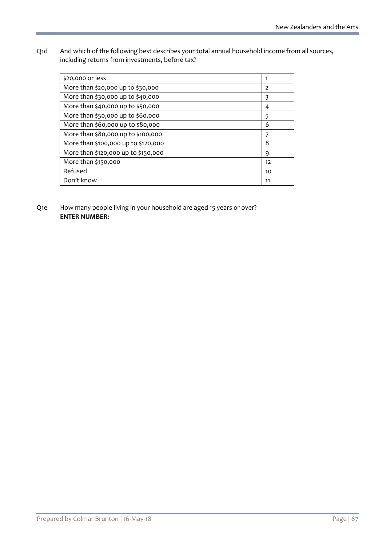Q1d And which of the following best describes your total annual household income from all sources, including returns from investments, before tax?

| \$20,000 or less                    | 1              |
|-------------------------------------|----------------|
| More than \$20,000 up to \$30,000   | $\overline{2}$ |
| More than \$30,000 up to \$40,000   | 3              |
| More than \$40,000 up to \$50,000   | 4              |
| More than \$50,000 up to \$60,000   | 5              |
| More than \$60,000 up to \$80,000   | 6              |
| More than \$80,000 up to \$100,000  | 7              |
| More than \$100,000 up to \$120,000 | 8              |
| More than \$120,000 up to \$150,000 | 9              |
| More than \$150,000                 | 12             |
| Refused                             | 10             |
| Don't know                          | 11             |
|                                     |                |

Q1e How many people living in your household are aged 15 years or over? **ENTER NUMBER:**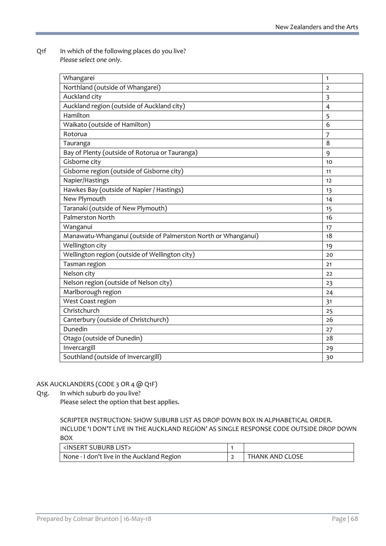Q1f In which of the following places do you live? *Please select one only.*

| Whangarei                                                     | $\mathbf{1}$   |
|---------------------------------------------------------------|----------------|
| Northland (outside of Whangarei)                              | $\overline{2}$ |
| Auckland city                                                 | 3              |
| Auckland region (outside of Auckland city)                    | $\overline{4}$ |
| Hamilton                                                      | 5              |
| Waikato (outside of Hamilton)                                 | 6              |
| Rotorua                                                       | $\overline{7}$ |
| Tauranga                                                      | 8              |
| Bay of Plenty (outside of Rotorua or Tauranga)                | 9              |
| Gisborne city                                                 | 10             |
| Gisborne region (outside of Gisborne city)                    | 11             |
| Napier/Hastings                                               | 12             |
| Hawkes Bay (outside of Napier / Hastings)                     | 13             |
| New Plymouth                                                  | 14             |
| Taranaki (outside of New Plymouth)                            | 15             |
| Palmerston North                                              | 16             |
| Wanganui                                                      | 17             |
| Manawatu-Whanganui (outside of Palmerston North or Whanganui) | 18             |
| Wellington city                                               | 19             |
| Wellington region (outside of Wellington city)                | 20             |
| Tasman region                                                 | 21             |
| Nelson city                                                   | 22             |
| Nelson region (outside of Nelson city)                        | 23             |
| Marlborough region                                            | 24             |
| West Coast region                                             | 31             |
| Christchurch                                                  | 25             |
| Canterbury (outside of Christchurch)                          | 26             |
| Dunedin                                                       | 27             |
| Otago (outside of Dunedin)                                    | 28             |
| Invercargill                                                  | 29             |
| Southland (outside of Invercargill)                           | 30             |

### ASK AUCKLANDERS (CODE 3 OR 4 @ Q1F)

Q1g. In which suburb do you live?

Please select the option that best applies.

SCRIPTER INSTRUCTION: SHOW SUBURB LIST AS DROP DOWN BOX IN ALPHABETICAL ORDER. INCLUDE 'I DON'T LIVE IN THE AUCKLAND REGION' AS SINGLE RESPONSE CODE OUTSIDE DROP DOWN BOX

| <insert list="" suburb=""></insert>        |                 |
|--------------------------------------------|-----------------|
| None - I don't live in the Auckland Region | THANK AND CLOSE |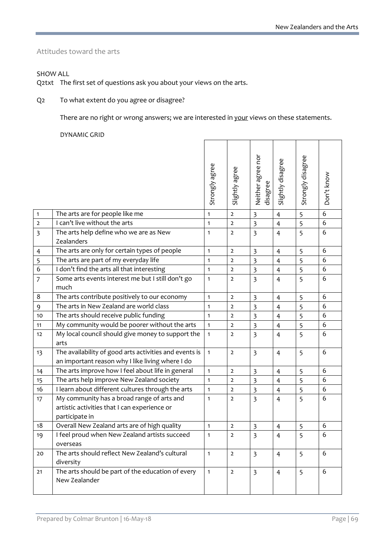L,

Attitudes toward the arts

SHOW ALL

Q2txt The first set of questions ask you about your views on the arts.

Q2 To what extent do you agree or disagree?

There are no right or wrong answers; we are interested in your views on these statements.

 $\blacksquare$ 

 $\overline{\phantom{a}}$ 

 $\overline{\phantom{a}}$ 

 $\overline{\phantom{a}}$ 

DYNAMIC GRID

|                |                                                                                                              | Strongly agree | Slightly agree | Neither agree nor<br>disagree | Slightly disagree | Strongly disagree | Don't know |
|----------------|--------------------------------------------------------------------------------------------------------------|----------------|----------------|-------------------------------|-------------------|-------------------|------------|
| $\mathbf{1}$   | The arts are for people like me                                                                              | $\mathbf{1}$   | $\overline{2}$ | $\overline{\mathbf{3}}$       | $\overline{4}$    | 5                 | 6          |
| $\overline{2}$ | I can't live without the arts                                                                                | 1              | $\overline{2}$ | $\overline{\mathbf{3}}$       | $\overline{4}$    | 5                 | 6          |
| 3              | The arts help define who we are as New<br>Zealanders                                                         | $\mathbf{1}$   | $\overline{2}$ | $\overline{\mathbf{3}}$       | $\overline{4}$    | 5                 | 6          |
| 4              | The arts are only for certain types of people                                                                | $\mathbf{1}$   | $\overline{2}$ | $\overline{\mathbf{3}}$       | 4                 | 5                 | 6          |
| 5              | The arts are part of my everyday life                                                                        | $\mathbf{1}$   | $\overline{2}$ | $\overline{\mathbf{3}}$       | $\overline{4}$    | 5                 | 6          |
| $\overline{6}$ | I don't find the arts all that interesting                                                                   | $\mathbf{1}$   | $\overline{2}$ | $\overline{\mathbf{3}}$       | $\overline{4}$    | 5                 | 6          |
| $\overline{7}$ | Some arts events interest me but I still don't go<br>much                                                    | $\mathbf{1}$   | $\overline{2}$ | $\overline{3}$                | $\overline{4}$    | 5                 | 6          |
| 8              | The arts contribute positively to our economy                                                                | $\mathbf{1}$   | $\overline{2}$ | $\overline{\mathbf{3}}$       | $\overline{4}$    | 5                 | 6          |
| 9              | The arts in New Zealand are world class                                                                      | $\mathbf{1}$   | $\overline{2}$ | $\overline{\mathbf{3}}$       | $\overline{4}$    | 5                 | 6          |
| 10             | The arts should receive public funding                                                                       | $\mathbf{1}$   | $\overline{2}$ | $\overline{\mathbf{3}}$       | $\overline{4}$    | 5                 | 6          |
| 11             | My community would be poorer without the arts                                                                | $\mathbf{1}$   | $\overline{2}$ | $\overline{3}$                | $\overline{4}$    | 5                 | 6          |
| 12             | My local council should give money to support the<br>arts                                                    | $\mathbf{1}$   | $\overline{2}$ | $\overline{3}$                | $\overline{4}$    | 5                 | 6          |
| 13             | The availability of good arts activities and events is<br>an important reason why I like living where I do   | $\mathbf{1}$   | $\overline{2}$ | $\overline{3}$                | $\overline{4}$    | 5                 | 6          |
| 14             | The arts improve how I feel about life in general                                                            | $\mathbf{1}$   | $\overline{2}$ | $\overline{\mathbf{3}}$       | $\overline{4}$    | 5                 | 6          |
| 15             | The arts help improve New Zealand society                                                                    | $\mathbf{1}$   | $\overline{2}$ | $\overline{\mathbf{3}}$       | $\overline{4}$    | 5                 | 6          |
| 16             | I learn about different cultures through the arts                                                            | $\mathbf{1}$   | $\overline{2}$ | 3                             | $\overline{4}$    | 5                 | 6          |
| 17             | My community has a broad range of arts and<br>artistic activities that I can experience or<br>participate in | $\mathbf{1}$   | $\overline{2}$ | $\overline{3}$                | $\overline{4}$    | 5                 | 6          |
| 18             | Overall New Zealand arts are of high quality                                                                 | $\mathbf{1}$   | $\overline{2}$ | $\overline{\mathbf{3}}$       | $\overline{4}$    | 5                 | 6          |
| 19.            | I feel proud when New Zealand artists succeed<br>overseas                                                    | 1              | $\overline{2}$ | ぅ                             | $\overline{4}$    | 5                 | 6          |
| 20             | The arts should reflect New Zealand's cultural<br>diversity                                                  | $\mathbf{1}$   | $\overline{2}$ | $\overline{3}$                | $\overline{4}$    | 5                 | 6          |
| 21             | The arts should be part of the education of every<br>New Zealander                                           | $\mathbf{1}$   | $\overline{2}$ | $\overline{3}$                | $\overline{4}$    | 5                 | 6          |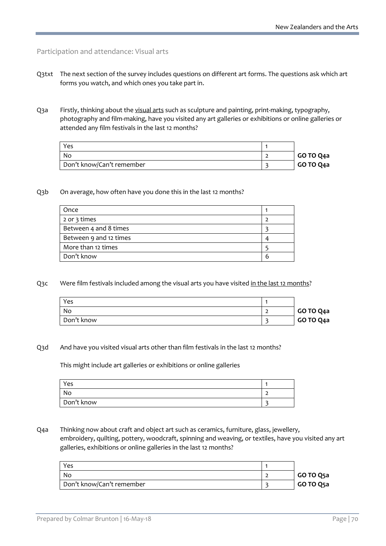#### Participation and attendance: Visual arts

- Q3txt The next section of the survey includes questions on different art forms. The questions ask which art forms you watch, and which ones you take part in.
- Q3a Firstly, thinking about the visual arts such as sculpture and painting, print-making, typography, photography and film-making, have you visited any art galleries or exhibitions or online galleries or attended any film festivals in the last 12 months?

| Yes                       |           |
|---------------------------|-----------|
| . No                      | GO TO Q4a |
| Don't know/Can't remember | GO TO Q4a |

Q3b On average, how often have you done this in the last 12 months?

| Once                   |  |
|------------------------|--|
| 2 or 3 times           |  |
| Between 4 and 8 times  |  |
| Between 9 and 12 times |  |
| More than 12 times     |  |
| Don't know             |  |

Q3c Were film festivals included among the visual arts you have visited in the last 12 months?

| Yes        |           |
|------------|-----------|
| No         | GO TO Q4a |
| Don't know | GO TO Q4a |

#### Q3d And have you visited visual arts other than film festivals in the last 12 months?

This might include art galleries or exhibitions or online galleries

| Yes        |  |
|------------|--|
| No.        |  |
| Don't know |  |

Q4a Thinking now about craft and object art such as ceramics, furniture, glass, jewellery, embroidery, quilting, pottery, woodcraft, spinning and weaving, or textiles, have you visited any art galleries, exhibitions or online galleries in the last 12 months?

| Yes                       |           |
|---------------------------|-----------|
| No                        | GO TO Q5a |
| Don't know/Can't remember | GO TO Q5a |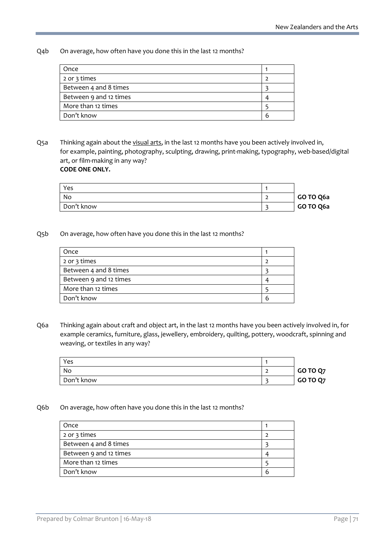Q4b On average, how often have you done this in the last 12 months?

| Once                   |   |
|------------------------|---|
| 2 or 3 times           |   |
| Between 4 and 8 times  |   |
| Between 9 and 12 times |   |
| More than 12 times     |   |
| Don't know             | h |

Q5a Thinking again about the visual arts, in the last 12 months have you been actively involved in, for example, painting, photography, sculpting, drawing, print-making, typography, web-based/digital art, or film-making in any way? **CODE ONE ONLY.**

| Yes        |           |
|------------|-----------|
| No         | GO TO Q6a |
| Don't know | GO TO Q6a |

#### Q5b On average, how often have you done this in the last 12 months?

| Once                   |   |
|------------------------|---|
| 2 or 3 times           |   |
| Between 4 and 8 times  |   |
| Between 9 and 12 times |   |
| More than 12 times     |   |
| Don't know             | h |

Q6a Thinking again about craft and object art, in the last 12 months have you been actively involved in, for example ceramics, furniture, glass, jewellery, embroidery, quilting, pottery, woodcraft, spinning and weaving, or textiles in any way?

| Yes        |          |
|------------|----------|
| No         | GO TO Q7 |
| Don't know | GO TO Q7 |

#### Q6b On average, how often have you done this in the last 12 months?

| Once                   |   |
|------------------------|---|
| 2 or 3 times           |   |
| Between 4 and 8 times  |   |
| Between 9 and 12 times |   |
| More than 12 times     |   |
| Don't know             | n |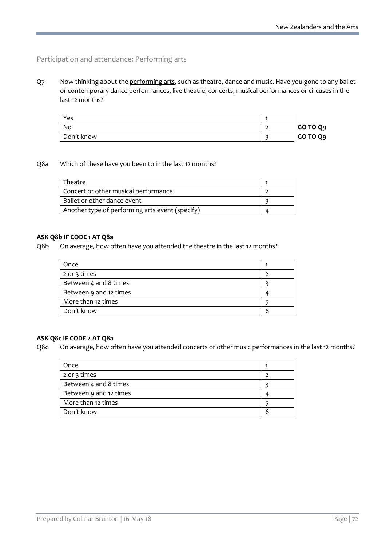## Participation and attendance: Performing arts

Q7 Now thinking about the performing arts, such as theatre, dance and music. Have you gone to any ballet or contemporary dance performances, live theatre, concerts, musical performances or circuses in the last 12 months?

| Yes        |          |
|------------|----------|
| No         | GO TO Q9 |
| Don't know | GO TO Q9 |

#### Q8a Which of these have you been to in the last 12 months?

| Theatre                                         |  |
|-------------------------------------------------|--|
| Concert or other musical performance            |  |
| Ballet or other dance event                     |  |
| Another type of performing arts event (specify) |  |

#### **ASK Q8b IF CODE 1 AT Q8a**

Q8b On average, how often have you attended the theatre in the last 12 months?

| Once                   |   |
|------------------------|---|
| 2 or 3 times           |   |
| Between 4 and 8 times  |   |
| Between 9 and 12 times |   |
| More than 12 times     |   |
| Don't know             | b |

#### **ASK Q8c IF CODE 2 AT Q8a**

Q8c On average, how often have you attended concerts or other music performances in the last 12 months?

| Once                   |   |
|------------------------|---|
| 2 or 3 times           |   |
| Between 4 and 8 times  |   |
| Between 9 and 12 times |   |
| More than 12 times     |   |
| Don't know             | h |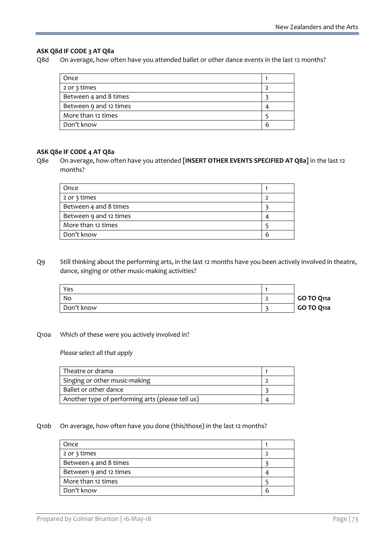### **ASK Q8d IF CODE 3 AT Q8a**

Q8d On average, how often have you attended ballet or other dance events in the last 12 months?

| Once                   |   |
|------------------------|---|
| 2 or 3 times           |   |
| Between 4 and 8 times  |   |
| Between 9 and 12 times | ⊿ |
| More than 12 times     |   |
| Don't know             | b |
|                        |   |

#### **ASK Q8e IF CODE 4 AT Q8a**

Q8e On average, how often have you attended **[INSERT OTHER EVENTS SPECIFIED AT Q8a]** in the last 12 months?

| Once                   |  |
|------------------------|--|
| 2 or 3 times           |  |
| Between 4 and 8 times  |  |
| Between 9 and 12 times |  |
| More than 12 times     |  |
| Don't know             |  |

Q9 Still thinking about the performing arts, in the last 12 months have you been actively involved in theatre, dance, singing or other music-making activities?

| Yes        |            |
|------------|------------|
| No         | GO TO Q11a |
| Don't know | GO TO Q11a |

#### Q10a Which of these were you actively involved in?

*Please select all that apply*

| Theatre or drama                                 |  |
|--------------------------------------------------|--|
| Singing or other music-making                    |  |
| Ballet or other dance                            |  |
| Another type of performing arts (please tell us) |  |

#### Q10b On average, how often have you done (this/those) in the last 12 months?

| Once                   |  |
|------------------------|--|
| 2 or 3 times           |  |
| Between 4 and 8 times  |  |
| Between 9 and 12 times |  |
| More than 12 times     |  |
| Don't know             |  |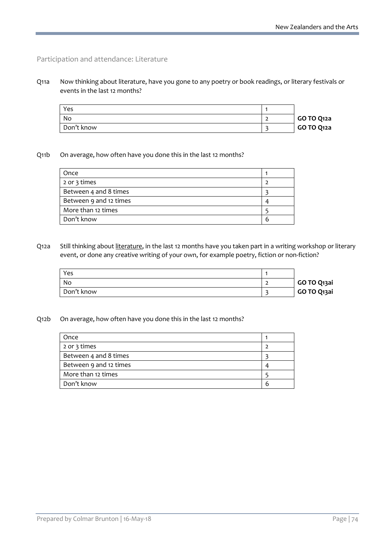### Participation and attendance: Literature

Q11a Now thinking about literature, have you gone to any poetry or book readings, or literary festivals or events in the last 12 months?

| Yes        |            |
|------------|------------|
| No         | GO TO Q12a |
| Don't know | GO TO Q12a |

### Q11b On average, how often have you done this in the last 12 months?

| Once                   |   |
|------------------------|---|
| 2 or 3 times           |   |
| Between 4 and 8 times  |   |
| Between 9 and 12 times |   |
| More than 12 times     |   |
| Don't know             | h |

Q12a Still thinking about literature, in the last 12 months have you taken part in a writing workshop or literary event, or done any creative writing of your own, for example poetry, fiction or non-fiction?

| Yes        |             |
|------------|-------------|
| No         | GO TO Q13ai |
| Don't know | GO TO Q13ai |

### Q12b On average, how often have you done this in the last 12 months?

| Once                   |   |
|------------------------|---|
| 2 or 3 times           |   |
| Between 4 and 8 times  |   |
| Between 9 and 12 times |   |
| More than 12 times     |   |
| Don't know             | h |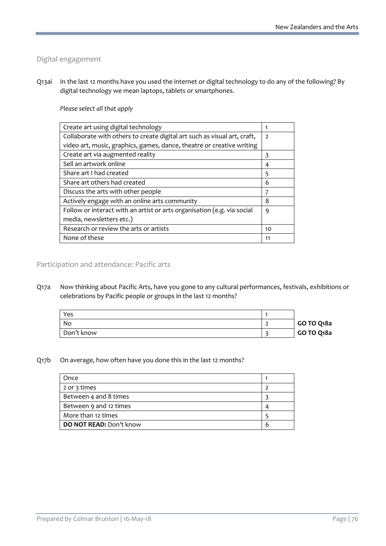### Digital engagement

Q13ai In the last 12 months have you used the internet or digital technology to do any of the following? By digital technology we mean laptops, tablets or smartphones.

### *Please select all that apply*

| Create art using digital technology                                      | 1              |
|--------------------------------------------------------------------------|----------------|
| Collaborate with others to create digital art such as visual art, craft, | $\overline{2}$ |
| video art, music, graphics, games, dance, theatre or creative writing    |                |
| Create art via augmented reality                                         | 3              |
| Sell an artwork online                                                   | 4              |
| Share art I had created                                                  | 5              |
| Share art others had created                                             | 6              |
| Discuss the arts with other people                                       |                |
| Actively engage with an online arts community                            | 8              |
| Follow or interact with an artist or arts organisation (e.g. via social  | 9              |
| media, newsletters etc.)                                                 |                |
| Research or review the arts or artists                                   | 10             |
| None of these                                                            | 11             |
|                                                                          |                |

Participation and attendance: Pacific arts

Q17a Now thinking about Pacific Arts, have you gone to any cultural performances, festivals, exhibitions or celebrations by Pacific people or groups in the last 12 months?

| Yes        |            |
|------------|------------|
| No         | GO TO Q18a |
| Don't know | GO TO Q18a |

### Q17b On average, how often have you done this in the last 12 months?

| Once                    |   |
|-------------------------|---|
| 2 or 3 times            |   |
| Between 4 and 8 times   |   |
| Between 9 and 12 times  |   |
| More than 12 times      |   |
| DO NOT READ: Don't know | h |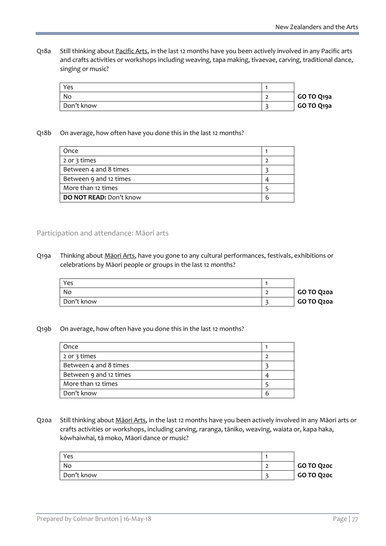Q18a Still thinking about Pacific Arts, in the last 12 months have you been actively involved in any Pacific arts and crafts activities or workshops including weaving, tapa making, tivaevae, carving, traditional dance, singing or music?

| Yes        |            |
|------------|------------|
| No         | GO TO Q19a |
| Don't know | GO TO Q19a |

### Q18b On average, how often have you done this in the last 12 months?

| Once                    |   |
|-------------------------|---|
| 2 or 3 times            |   |
| Between 4 and 8 times   |   |
| Between 9 and 12 times  |   |
| More than 12 times      |   |
| DO NOT READ: Don't know | h |

### Participation and attendance: Māori arts

Q19a Thinking about Maori Arts, have you gone to any cultural performances, festivals, exhibitions or celebrations by Māori people or groups in the last 12 months?

| Yes        |            |
|------------|------------|
| No         | GO TO Q20a |
| Don't know | GO TO Q20a |

### Q19b On average, how often have you done this in the last 12 months?

| Once                   |  |
|------------------------|--|
| 2 or 3 times           |  |
| Between 4 and 8 times  |  |
| Between 9 and 12 times |  |
| More than 12 times     |  |
| Don't know             |  |

Q20a Still thinking about Māori Arts, in the last 12 months have you been actively involved in any Māori arts or crafts activities or workshops, including carving, raranga, tāniko, weaving, waiata or, kapa haka, kōwhaiwhai, tā moko, Māori dance or music?

| Yes        |            |
|------------|------------|
| No         | GO TO Q20C |
| Don't know | GO TO Q20C |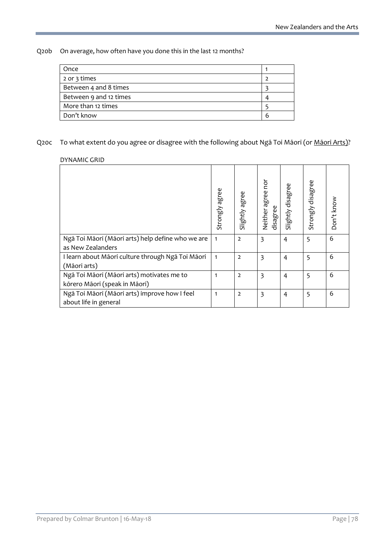Q20b On average, how often have you done this in the last 12 months?

| Once                   |   |
|------------------------|---|
| 2 or 3 times           |   |
| Between 4 and 8 times  |   |
| Between 9 and 12 times |   |
| More than 12 times     |   |
| Don't know             | h |
|                        |   |

# Q20c To what extent do you agree or disagree with the following about Ngā Toi Māori (or Māori Arts)?

#### DYNAMIC GRID

|                                                                             | Strongly agree | Slightly agree | Neither agree nor<br>disagree | Slightly disagree | Strongly disagree | Don't know |
|-----------------------------------------------------------------------------|----------------|----------------|-------------------------------|-------------------|-------------------|------------|
| Ngā Toi Māori (Māori arts) help define who we are<br>as New Zealanders      | $\mathbf{1}$   | $\overline{2}$ | 3                             | 4                 | 5                 | 6          |
| I learn about Māori culture through Ngā Toi Māori<br>(Māori arts)           | $\mathbf{1}$   | $\overline{2}$ | 3                             | 4                 | 5                 | 6          |
| Ngā Toi Māori (Māori arts) motivates me to<br>kōrero Māori (speak in Māori) | 1              | $\overline{2}$ | 3                             | 4                 | 5                 | 6          |
| Ngā Toi Māori (Māori arts) improve how I feel<br>about life in general      | $\mathbf{1}$   | $\overline{2}$ | 3                             | 4                 | 5                 | 6          |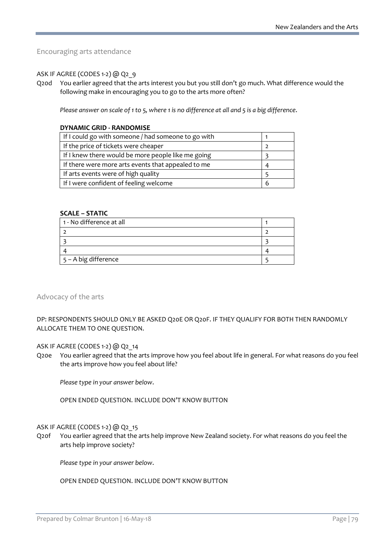Encouraging arts attendance

### ASK IF AGREE (CODES 1-2) @ Q2\_9

Q20d You earlier agreed that the arts interest you but you still don't go much. What difference would the following make in encouraging you to go to the arts more often?

*Please answer on scale of 1 to 5, where 1 is no difference at all and 5 is a big difference*.

#### **DYNAMIC GRID - RANDOMISE**

| If I could go with someone / had someone to go with |   |
|-----------------------------------------------------|---|
| If the price of tickets were cheaper                |   |
| If I knew there would be more people like me going  |   |
| If there were more arts events that appealed to me  |   |
| If arts events were of high quality                 |   |
| If I were confident of feeling welcome              | 6 |

#### **SCALE – STATIC**

| 1 - No difference at all |  |
|--------------------------|--|
|                          |  |
|                          |  |
|                          |  |
| 5 - A big difference     |  |

#### Advocacy of the arts

DP: RESPONDENTS SHOULD ONLY BE ASKED Q20E OR Q20F. IF THEY QUALIFY FOR BOTH THEN RANDOMLY ALLOCATE THEM TO ONE QUESTION.

### ASK IF AGREE (CODES 1-2) @ Q2\_14

Q20e You earlier agreed that the arts improve how you feel about life in general. For what reasons do you feel the arts improve how you feel about life?

*Please type in your answer below*.

OPEN ENDED QUESTION. INCLUDE DON'T KNOW BUTTON

#### ASK IF AGREE (CODES 1-2) @ Q2\_15

Q20f You earlier agreed that the arts help improve New Zealand society. For what reasons do you feel the arts help improve society?

*Please type in your answer below*.

### OPEN ENDED QUESTION. INCLUDE DON'T KNOW BUTTON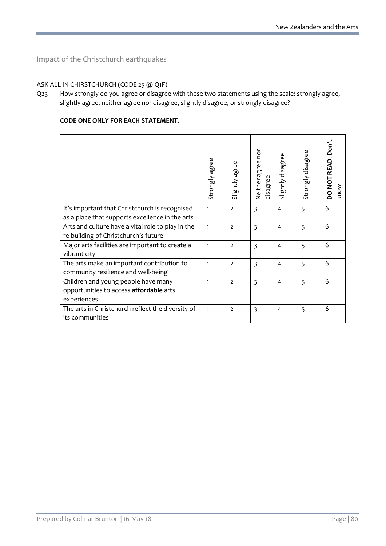Impact of the Christchurch earthquakes

## ASK ALL IN CHIRSTCHURCH (CODE 25 @ Q1F)

Q23 How strongly do you agree or disagree with these two statements using the scale: strongly agree, slightly agree, neither agree nor disagree, slightly disagree, or strongly disagree?

### **CODE ONE ONLY FOR EACH STATEMENT.**

|                                                                                                   | Strongly agree | Slightly agree | Neither agree nor<br>disagree | Slightly disagree | Strongly disagree | Don't<br>READ:<br><b>TONOC</b><br>know |
|---------------------------------------------------------------------------------------------------|----------------|----------------|-------------------------------|-------------------|-------------------|----------------------------------------|
| It's important that Christchurch is recognised<br>as a place that supports excellence in the arts | 1              | $\overline{2}$ | 3                             | 4                 | 5                 | 6                                      |
| Arts and culture have a vital role to play in the<br>re-building of Christchurch's future         | $\mathbf{1}$   | $\overline{2}$ | 3                             | 4                 | 5                 | 6                                      |
| Major arts facilities are important to create a<br>vibrant city                                   | $\mathbf{1}$   | $\overline{2}$ | $\overline{3}$                | $\overline{4}$    | 5                 | 6                                      |
| The arts make an important contribution to<br>community resilience and well-being                 | $\mathbf{1}$   | $\overline{2}$ | 3                             | 4                 | 5                 | 6                                      |
| Children and young people have many<br>opportunities to access affordable arts<br>experiences     | $\mathbf{1}$   | $\overline{2}$ | 3                             | 4                 | 5                 | 6                                      |
| The arts in Christchurch reflect the diversity of<br>its communities                              | $\mathbf{1}$   | $\overline{2}$ | 3                             | 4                 | 5                 | 6                                      |